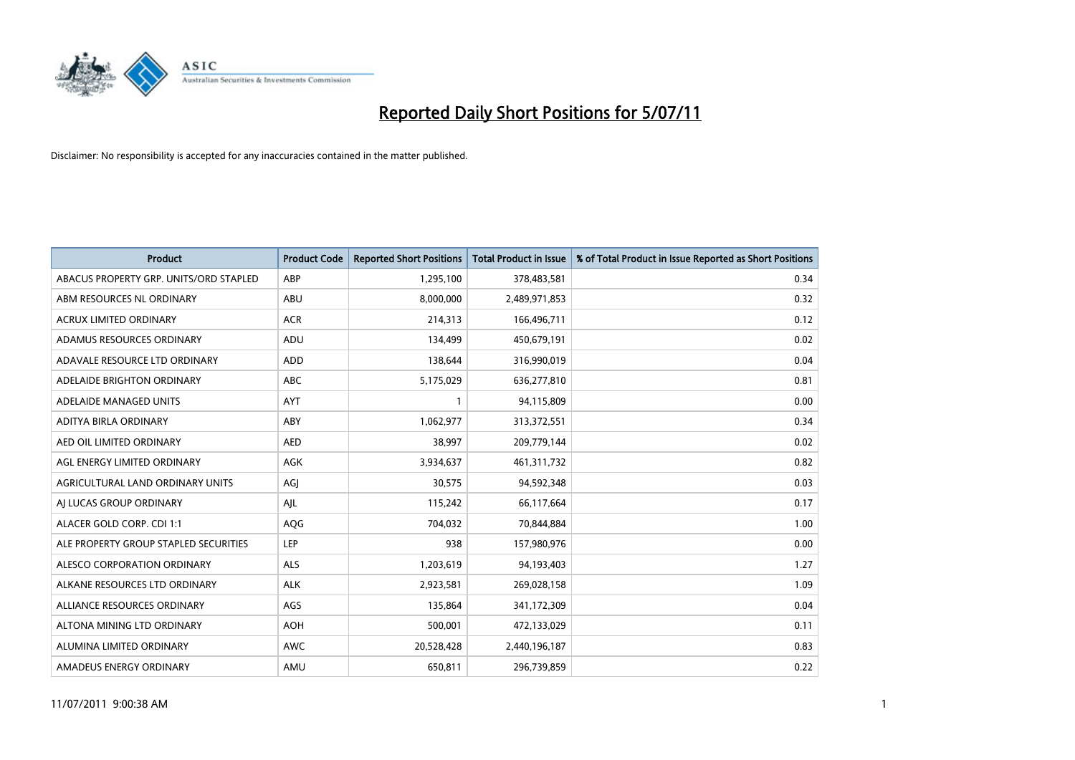

| <b>Product</b>                         | <b>Product Code</b> | <b>Reported Short Positions</b> | <b>Total Product in Issue</b> | % of Total Product in Issue Reported as Short Positions |
|----------------------------------------|---------------------|---------------------------------|-------------------------------|---------------------------------------------------------|
| ABACUS PROPERTY GRP. UNITS/ORD STAPLED | ABP                 | 1,295,100                       | 378,483,581                   | 0.34                                                    |
| ABM RESOURCES NL ORDINARY              | ABU                 | 8,000,000                       | 2,489,971,853                 | 0.32                                                    |
| <b>ACRUX LIMITED ORDINARY</b>          | <b>ACR</b>          | 214,313                         | 166,496,711                   | 0.12                                                    |
| ADAMUS RESOURCES ORDINARY              | ADU                 | 134,499                         | 450,679,191                   | 0.02                                                    |
| ADAVALE RESOURCE LTD ORDINARY          | <b>ADD</b>          | 138.644                         | 316,990,019                   | 0.04                                                    |
| ADELAIDE BRIGHTON ORDINARY             | <b>ABC</b>          | 5,175,029                       | 636,277,810                   | 0.81                                                    |
| ADELAIDE MANAGED UNITS                 | <b>AYT</b>          |                                 | 94,115,809                    | 0.00                                                    |
| ADITYA BIRLA ORDINARY                  | ABY                 | 1,062,977                       | 313,372,551                   | 0.34                                                    |
| AED OIL LIMITED ORDINARY               | <b>AED</b>          | 38,997                          | 209,779,144                   | 0.02                                                    |
| AGL ENERGY LIMITED ORDINARY            | <b>AGK</b>          | 3,934,637                       | 461,311,732                   | 0.82                                                    |
| AGRICULTURAL LAND ORDINARY UNITS       | AGJ                 | 30,575                          | 94,592,348                    | 0.03                                                    |
| AI LUCAS GROUP ORDINARY                | AJL                 | 115,242                         | 66,117,664                    | 0.17                                                    |
| ALACER GOLD CORP. CDI 1:1              | AQG                 | 704,032                         | 70,844,884                    | 1.00                                                    |
| ALE PROPERTY GROUP STAPLED SECURITIES  | <b>LEP</b>          | 938                             | 157,980,976                   | 0.00                                                    |
| ALESCO CORPORATION ORDINARY            | <b>ALS</b>          | 1,203,619                       | 94,193,403                    | 1.27                                                    |
| ALKANE RESOURCES LTD ORDINARY          | <b>ALK</b>          | 2,923,581                       | 269,028,158                   | 1.09                                                    |
| ALLIANCE RESOURCES ORDINARY            | AGS                 | 135,864                         | 341,172,309                   | 0.04                                                    |
| ALTONA MINING LTD ORDINARY             | <b>AOH</b>          | 500,001                         | 472,133,029                   | 0.11                                                    |
| ALUMINA LIMITED ORDINARY               | <b>AWC</b>          | 20,528,428                      | 2,440,196,187                 | 0.83                                                    |
| AMADEUS ENERGY ORDINARY                | AMU                 | 650,811                         | 296,739,859                   | 0.22                                                    |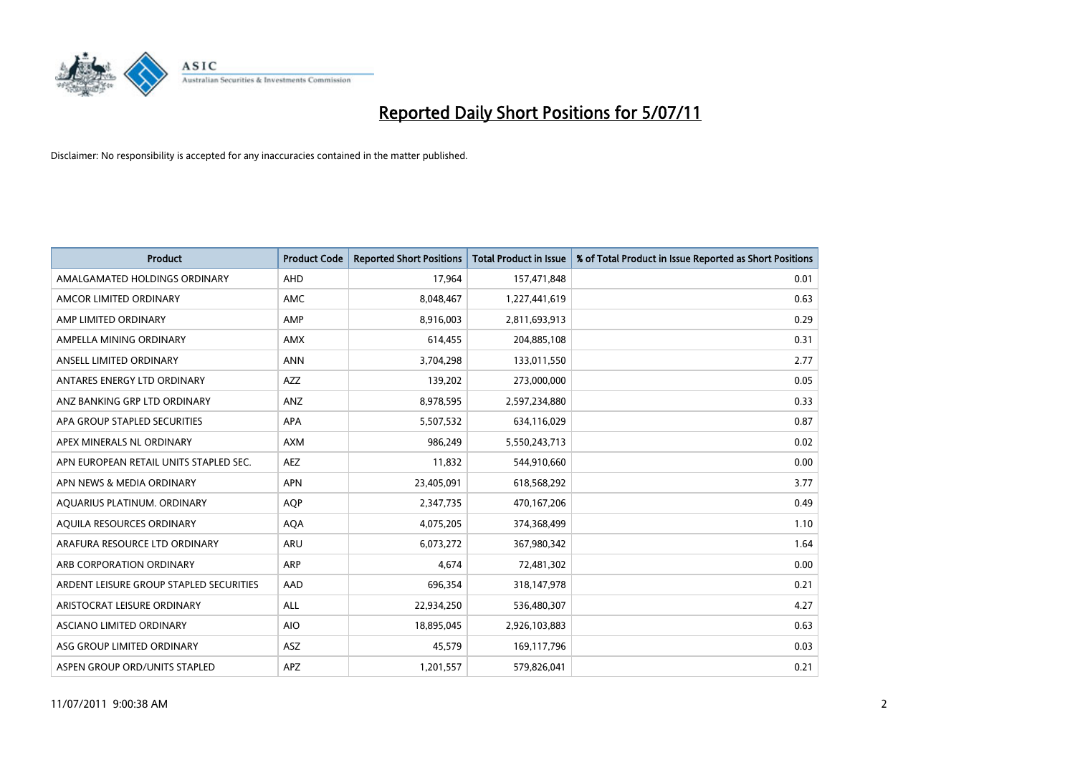

| <b>Product</b>                          | <b>Product Code</b> | <b>Reported Short Positions</b> | <b>Total Product in Issue</b> | % of Total Product in Issue Reported as Short Positions |
|-----------------------------------------|---------------------|---------------------------------|-------------------------------|---------------------------------------------------------|
| AMALGAMATED HOLDINGS ORDINARY           | AHD                 | 17,964                          | 157,471,848                   | 0.01                                                    |
| AMCOR LIMITED ORDINARY                  | <b>AMC</b>          | 8,048,467                       | 1,227,441,619                 | 0.63                                                    |
| AMP LIMITED ORDINARY                    | AMP                 | 8,916,003                       | 2,811,693,913                 | 0.29                                                    |
| AMPELLA MINING ORDINARY                 | <b>AMX</b>          | 614,455                         | 204,885,108                   | 0.31                                                    |
| ANSELL LIMITED ORDINARY                 | <b>ANN</b>          | 3,704,298                       | 133,011,550                   | 2.77                                                    |
| ANTARES ENERGY LTD ORDINARY             | <b>AZZ</b>          | 139,202                         | 273,000,000                   | 0.05                                                    |
| ANZ BANKING GRP LTD ORDINARY            | ANZ                 | 8,978,595                       | 2,597,234,880                 | 0.33                                                    |
| APA GROUP STAPLED SECURITIES            | <b>APA</b>          | 5,507,532                       | 634,116,029                   | 0.87                                                    |
| APEX MINERALS NL ORDINARY               | <b>AXM</b>          | 986,249                         | 5,550,243,713                 | 0.02                                                    |
| APN EUROPEAN RETAIL UNITS STAPLED SEC.  | <b>AEZ</b>          | 11,832                          | 544,910,660                   | 0.00                                                    |
| APN NEWS & MEDIA ORDINARY               | <b>APN</b>          | 23,405,091                      | 618,568,292                   | 3.77                                                    |
| AQUARIUS PLATINUM. ORDINARY             | <b>AOP</b>          | 2,347,735                       | 470,167,206                   | 0.49                                                    |
| AQUILA RESOURCES ORDINARY               | <b>AQA</b>          | 4,075,205                       | 374,368,499                   | 1.10                                                    |
| ARAFURA RESOURCE LTD ORDINARY           | <b>ARU</b>          | 6,073,272                       | 367,980,342                   | 1.64                                                    |
| ARB CORPORATION ORDINARY                | <b>ARP</b>          | 4,674                           | 72,481,302                    | 0.00                                                    |
| ARDENT LEISURE GROUP STAPLED SECURITIES | AAD                 | 696,354                         | 318,147,978                   | 0.21                                                    |
| ARISTOCRAT LEISURE ORDINARY             | <b>ALL</b>          | 22,934,250                      | 536,480,307                   | 4.27                                                    |
| ASCIANO LIMITED ORDINARY                | <b>AIO</b>          | 18,895,045                      | 2,926,103,883                 | 0.63                                                    |
| ASG GROUP LIMITED ORDINARY              | <b>ASZ</b>          | 45,579                          | 169,117,796                   | 0.03                                                    |
| ASPEN GROUP ORD/UNITS STAPLED           | <b>APZ</b>          | 1,201,557                       | 579,826,041                   | 0.21                                                    |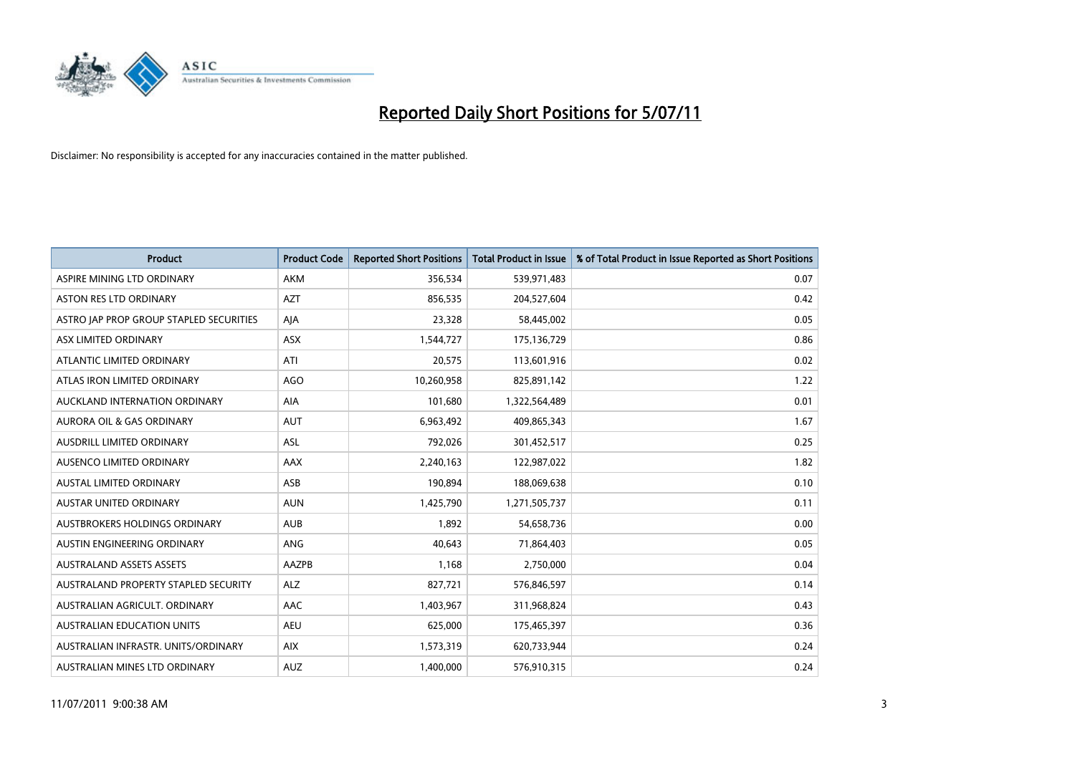

| <b>Product</b>                          | <b>Product Code</b> | <b>Reported Short Positions</b> | Total Product in Issue | % of Total Product in Issue Reported as Short Positions |
|-----------------------------------------|---------------------|---------------------------------|------------------------|---------------------------------------------------------|
| ASPIRE MINING LTD ORDINARY              | <b>AKM</b>          | 356,534                         | 539,971,483            | 0.07                                                    |
| ASTON RES LTD ORDINARY                  | <b>AZT</b>          | 856,535                         | 204,527,604            | 0.42                                                    |
| ASTRO JAP PROP GROUP STAPLED SECURITIES | AJA                 | 23,328                          | 58,445,002             | 0.05                                                    |
| ASX LIMITED ORDINARY                    | ASX                 | 1,544,727                       | 175,136,729            | 0.86                                                    |
| ATLANTIC LIMITED ORDINARY               | ATI                 | 20,575                          | 113,601,916            | 0.02                                                    |
| ATLAS IRON LIMITED ORDINARY             | <b>AGO</b>          | 10,260,958                      | 825,891,142            | 1.22                                                    |
| AUCKLAND INTERNATION ORDINARY           | <b>AIA</b>          | 101,680                         | 1,322,564,489          | 0.01                                                    |
| AURORA OIL & GAS ORDINARY               | <b>AUT</b>          | 6,963,492                       | 409,865,343            | 1.67                                                    |
| AUSDRILL LIMITED ORDINARY               | ASL                 | 792,026                         | 301,452,517            | 0.25                                                    |
| AUSENCO LIMITED ORDINARY                | AAX                 | 2,240,163                       | 122,987,022            | 1.82                                                    |
| AUSTAL LIMITED ORDINARY                 | ASB                 | 190,894                         | 188,069,638            | 0.10                                                    |
| <b>AUSTAR UNITED ORDINARY</b>           | <b>AUN</b>          | 1,425,790                       | 1,271,505,737          | 0.11                                                    |
| AUSTBROKERS HOLDINGS ORDINARY           | <b>AUB</b>          | 1,892                           | 54,658,736             | 0.00                                                    |
| AUSTIN ENGINEERING ORDINARY             | ANG                 | 40,643                          | 71,864,403             | 0.05                                                    |
| <b>AUSTRALAND ASSETS ASSETS</b>         | AAZPB               | 1,168                           | 2,750,000              | 0.04                                                    |
| AUSTRALAND PROPERTY STAPLED SECURITY    | <b>ALZ</b>          | 827,721                         | 576,846,597            | 0.14                                                    |
| AUSTRALIAN AGRICULT, ORDINARY           | AAC                 | 1,403,967                       | 311,968,824            | 0.43                                                    |
| AUSTRALIAN EDUCATION UNITS              | <b>AEU</b>          | 625,000                         | 175,465,397            | 0.36                                                    |
| AUSTRALIAN INFRASTR. UNITS/ORDINARY     | <b>AIX</b>          | 1,573,319                       | 620,733,944            | 0.24                                                    |
| AUSTRALIAN MINES LTD ORDINARY           | <b>AUZ</b>          | 1,400,000                       | 576,910,315            | 0.24                                                    |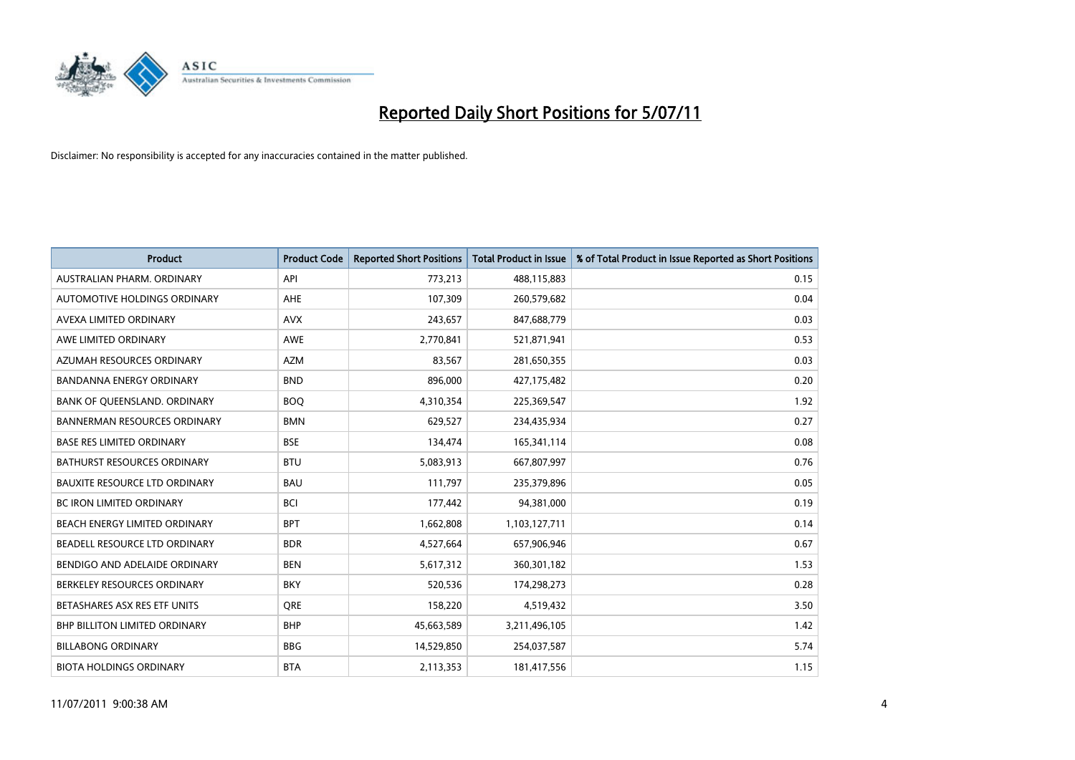

| <b>Product</b>                       | <b>Product Code</b> | <b>Reported Short Positions</b> | <b>Total Product in Issue</b> | % of Total Product in Issue Reported as Short Positions |
|--------------------------------------|---------------------|---------------------------------|-------------------------------|---------------------------------------------------------|
| AUSTRALIAN PHARM, ORDINARY           | API                 | 773,213                         | 488,115,883                   | 0.15                                                    |
| AUTOMOTIVE HOLDINGS ORDINARY         | <b>AHE</b>          | 107,309                         | 260,579,682                   | 0.04                                                    |
| AVEXA LIMITED ORDINARY               | <b>AVX</b>          | 243,657                         | 847,688,779                   | 0.03                                                    |
| AWE LIMITED ORDINARY                 | <b>AWE</b>          | 2,770,841                       | 521,871,941                   | 0.53                                                    |
| AZUMAH RESOURCES ORDINARY            | <b>AZM</b>          | 83,567                          | 281,650,355                   | 0.03                                                    |
| <b>BANDANNA ENERGY ORDINARY</b>      | <b>BND</b>          | 896,000                         | 427,175,482                   | 0.20                                                    |
| BANK OF QUEENSLAND. ORDINARY         | <b>BOO</b>          | 4,310,354                       | 225,369,547                   | 1.92                                                    |
| <b>BANNERMAN RESOURCES ORDINARY</b>  | <b>BMN</b>          | 629,527                         | 234,435,934                   | 0.27                                                    |
| <b>BASE RES LIMITED ORDINARY</b>     | <b>BSE</b>          | 134,474                         | 165,341,114                   | 0.08                                                    |
| <b>BATHURST RESOURCES ORDINARY</b>   | <b>BTU</b>          | 5,083,913                       | 667,807,997                   | 0.76                                                    |
| <b>BAUXITE RESOURCE LTD ORDINARY</b> | <b>BAU</b>          | 111,797                         | 235,379,896                   | 0.05                                                    |
| <b>BC IRON LIMITED ORDINARY</b>      | <b>BCI</b>          | 177,442                         | 94,381,000                    | 0.19                                                    |
| BEACH ENERGY LIMITED ORDINARY        | <b>BPT</b>          | 1,662,808                       | 1,103,127,711                 | 0.14                                                    |
| BEADELL RESOURCE LTD ORDINARY        | <b>BDR</b>          | 4,527,664                       | 657,906,946                   | 0.67                                                    |
| BENDIGO AND ADELAIDE ORDINARY        | <b>BEN</b>          | 5,617,312                       | 360,301,182                   | 1.53                                                    |
| BERKELEY RESOURCES ORDINARY          | <b>BKY</b>          | 520,536                         | 174,298,273                   | 0.28                                                    |
| BETASHARES ASX RES ETF UNITS         | <b>ORE</b>          | 158,220                         | 4,519,432                     | 3.50                                                    |
| <b>BHP BILLITON LIMITED ORDINARY</b> | <b>BHP</b>          | 45,663,589                      | 3,211,496,105                 | 1.42                                                    |
| <b>BILLABONG ORDINARY</b>            | <b>BBG</b>          | 14,529,850                      | 254,037,587                   | 5.74                                                    |
| <b>BIOTA HOLDINGS ORDINARY</b>       | <b>BTA</b>          | 2,113,353                       | 181,417,556                   | 1.15                                                    |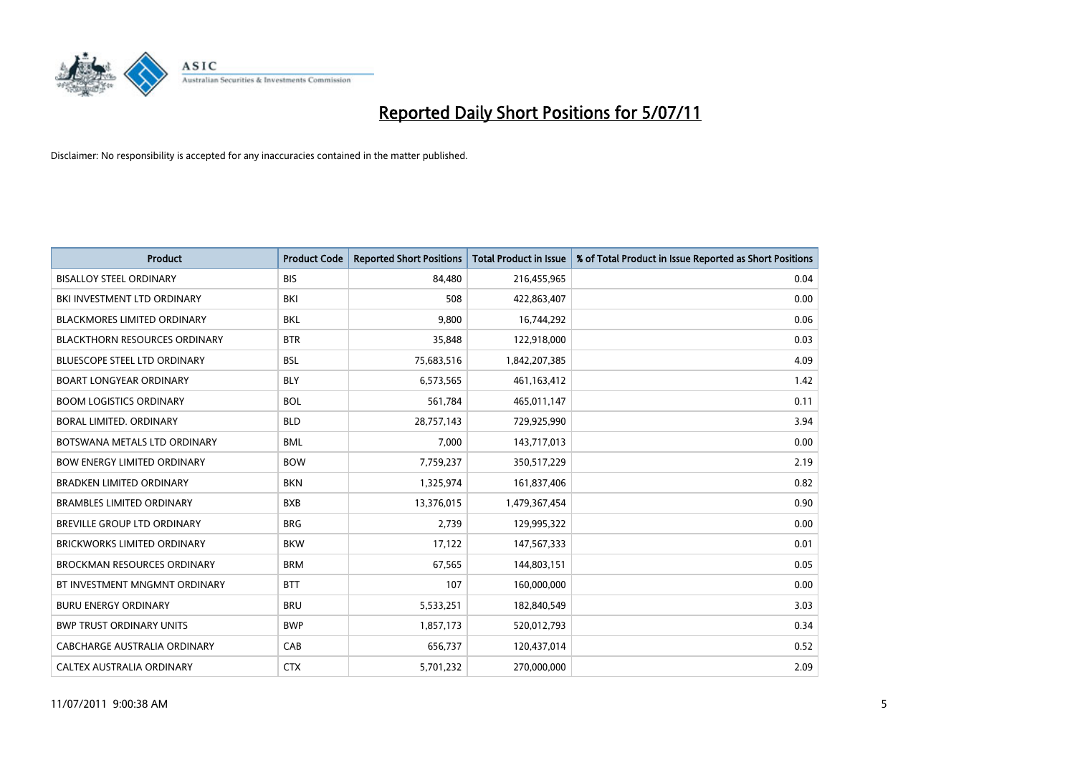

| <b>Product</b>                       | <b>Product Code</b> | <b>Reported Short Positions</b> | <b>Total Product in Issue</b> | % of Total Product in Issue Reported as Short Positions |
|--------------------------------------|---------------------|---------------------------------|-------------------------------|---------------------------------------------------------|
| <b>BISALLOY STEEL ORDINARY</b>       | <b>BIS</b>          | 84,480                          | 216,455,965                   | 0.04                                                    |
| BKI INVESTMENT LTD ORDINARY          | BKI                 | 508                             | 422,863,407                   | 0.00                                                    |
| <b>BLACKMORES LIMITED ORDINARY</b>   | <b>BKL</b>          | 9,800                           | 16,744,292                    | 0.06                                                    |
| <b>BLACKTHORN RESOURCES ORDINARY</b> | <b>BTR</b>          | 35,848                          | 122,918,000                   | 0.03                                                    |
| <b>BLUESCOPE STEEL LTD ORDINARY</b>  | <b>BSL</b>          | 75,683,516                      | 1,842,207,385                 | 4.09                                                    |
| <b>BOART LONGYEAR ORDINARY</b>       | <b>BLY</b>          | 6,573,565                       | 461,163,412                   | 1.42                                                    |
| <b>BOOM LOGISTICS ORDINARY</b>       | <b>BOL</b>          | 561,784                         | 465,011,147                   | 0.11                                                    |
| BORAL LIMITED, ORDINARY              | <b>BLD</b>          | 28,757,143                      | 729,925,990                   | 3.94                                                    |
| BOTSWANA METALS LTD ORDINARY         | <b>BML</b>          | 7,000                           | 143,717,013                   | 0.00                                                    |
| <b>BOW ENERGY LIMITED ORDINARY</b>   | <b>BOW</b>          | 7,759,237                       | 350,517,229                   | 2.19                                                    |
| <b>BRADKEN LIMITED ORDINARY</b>      | <b>BKN</b>          | 1,325,974                       | 161,837,406                   | 0.82                                                    |
| <b>BRAMBLES LIMITED ORDINARY</b>     | <b>BXB</b>          | 13,376,015                      | 1,479,367,454                 | 0.90                                                    |
| BREVILLE GROUP LTD ORDINARY          | <b>BRG</b>          | 2,739                           | 129,995,322                   | 0.00                                                    |
| <b>BRICKWORKS LIMITED ORDINARY</b>   | <b>BKW</b>          | 17,122                          | 147,567,333                   | 0.01                                                    |
| <b>BROCKMAN RESOURCES ORDINARY</b>   | <b>BRM</b>          | 67,565                          | 144,803,151                   | 0.05                                                    |
| BT INVESTMENT MNGMNT ORDINARY        | <b>BTT</b>          | 107                             | 160,000,000                   | 0.00                                                    |
| <b>BURU ENERGY ORDINARY</b>          | <b>BRU</b>          | 5,533,251                       | 182,840,549                   | 3.03                                                    |
| <b>BWP TRUST ORDINARY UNITS</b>      | <b>BWP</b>          | 1,857,173                       | 520,012,793                   | 0.34                                                    |
| CABCHARGE AUSTRALIA ORDINARY         | CAB                 | 656,737                         | 120,437,014                   | 0.52                                                    |
| CALTEX AUSTRALIA ORDINARY            | <b>CTX</b>          | 5,701,232                       | 270,000,000                   | 2.09                                                    |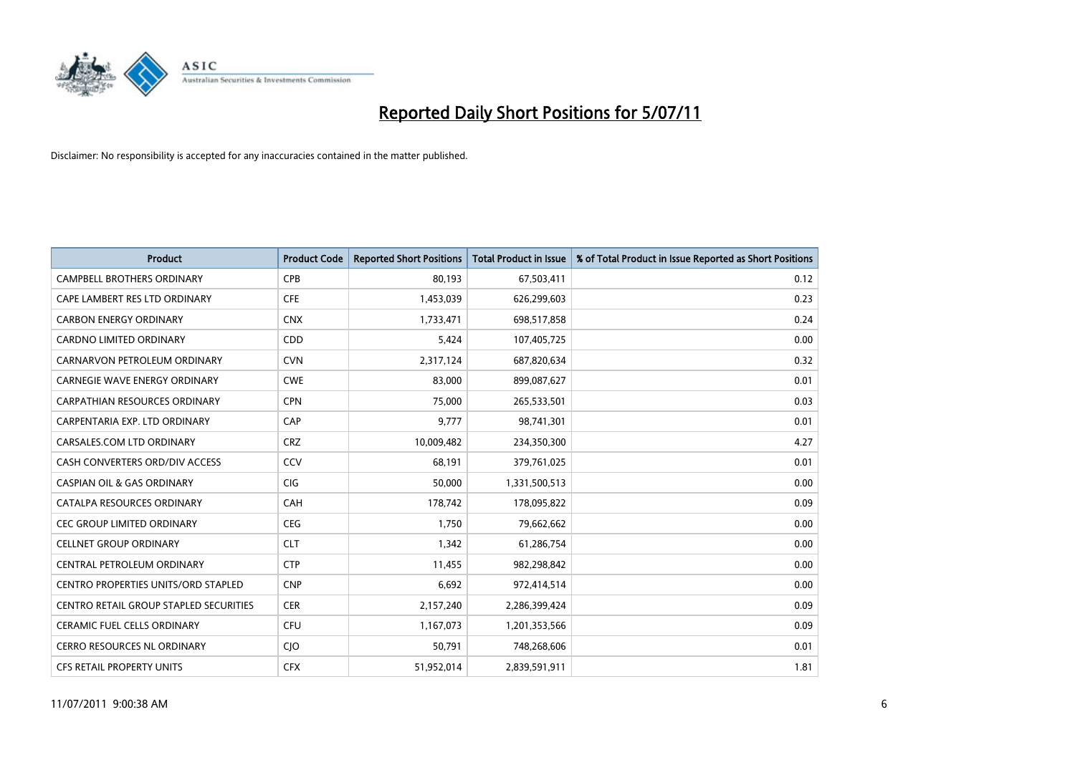

| <b>Product</b>                         | <b>Product Code</b> | <b>Reported Short Positions</b> | Total Product in Issue | % of Total Product in Issue Reported as Short Positions |
|----------------------------------------|---------------------|---------------------------------|------------------------|---------------------------------------------------------|
| <b>CAMPBELL BROTHERS ORDINARY</b>      | <b>CPB</b>          | 80,193                          | 67,503,411             | 0.12                                                    |
| CAPE LAMBERT RES LTD ORDINARY          | <b>CFE</b>          | 1,453,039                       | 626,299,603            | 0.23                                                    |
| <b>CARBON ENERGY ORDINARY</b>          | <b>CNX</b>          | 1,733,471                       | 698,517,858            | 0.24                                                    |
| CARDNO LIMITED ORDINARY                | CDD                 | 5,424                           | 107,405,725            | 0.00                                                    |
| CARNARVON PETROLEUM ORDINARY           | <b>CVN</b>          | 2,317,124                       | 687,820,634            | 0.32                                                    |
| <b>CARNEGIE WAVE ENERGY ORDINARY</b>   | <b>CWE</b>          | 83,000                          | 899,087,627            | 0.01                                                    |
| <b>CARPATHIAN RESOURCES ORDINARY</b>   | <b>CPN</b>          | 75.000                          | 265,533,501            | 0.03                                                    |
| CARPENTARIA EXP. LTD ORDINARY          | CAP                 | 9,777                           | 98,741,301             | 0.01                                                    |
| CARSALES.COM LTD ORDINARY              | <b>CRZ</b>          | 10,009,482                      | 234,350,300            | 4.27                                                    |
| CASH CONVERTERS ORD/DIV ACCESS         | CCV                 | 68.191                          | 379,761,025            | 0.01                                                    |
| <b>CASPIAN OIL &amp; GAS ORDINARY</b>  | <b>CIG</b>          | 50,000                          | 1,331,500,513          | 0.00                                                    |
| CATALPA RESOURCES ORDINARY             | CAH                 | 178,742                         | 178,095,822            | 0.09                                                    |
| CEC GROUP LIMITED ORDINARY             | <b>CEG</b>          | 1.750                           | 79,662,662             | 0.00                                                    |
| <b>CELLNET GROUP ORDINARY</b>          | <b>CLT</b>          | 1.342                           | 61,286,754             | 0.00                                                    |
| CENTRAL PETROLEUM ORDINARY             | <b>CTP</b>          | 11,455                          | 982,298,842            | 0.00                                                    |
| CENTRO PROPERTIES UNITS/ORD STAPLED    | <b>CNP</b>          | 6,692                           | 972,414,514            | 0.00                                                    |
| CENTRO RETAIL GROUP STAPLED SECURITIES | <b>CER</b>          | 2,157,240                       | 2,286,399,424          | 0.09                                                    |
| CERAMIC FUEL CELLS ORDINARY            | <b>CFU</b>          | 1,167,073                       | 1,201,353,566          | 0.09                                                    |
| <b>CERRO RESOURCES NL ORDINARY</b>     | <b>CIO</b>          | 50.791                          | 748,268,606            | 0.01                                                    |
| <b>CFS RETAIL PROPERTY UNITS</b>       | <b>CFX</b>          | 51,952,014                      | 2,839,591,911          | 1.81                                                    |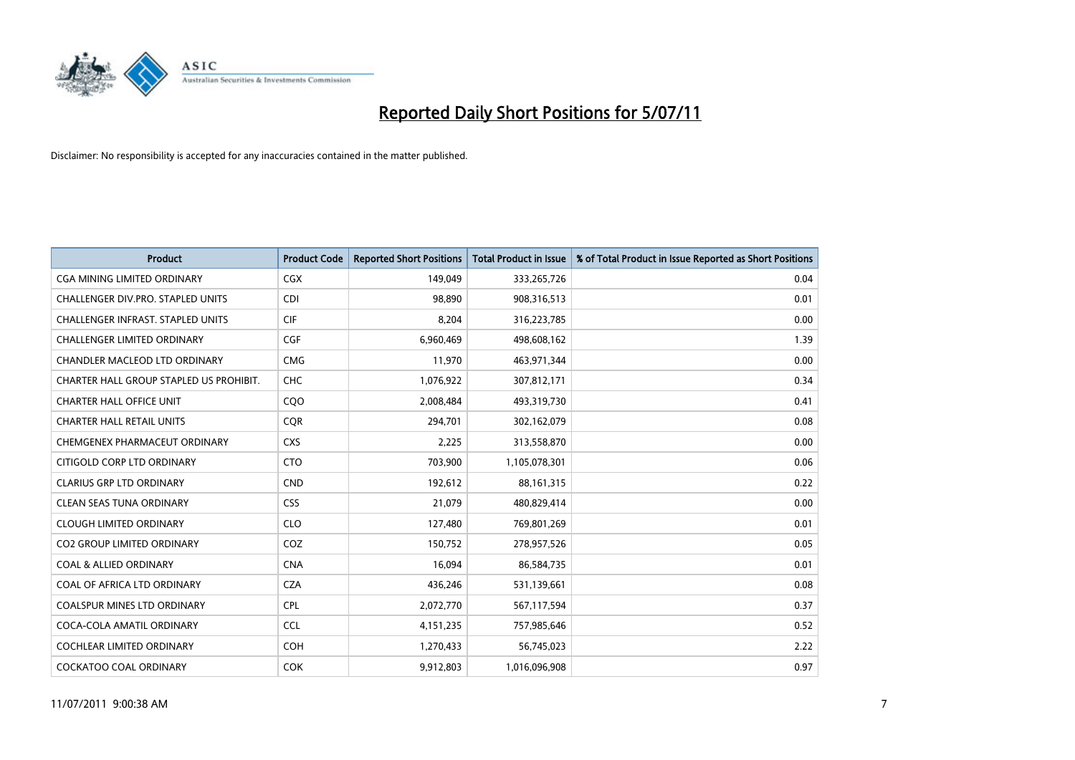

| <b>Product</b>                          | <b>Product Code</b> | <b>Reported Short Positions</b> | Total Product in Issue | % of Total Product in Issue Reported as Short Positions |
|-----------------------------------------|---------------------|---------------------------------|------------------------|---------------------------------------------------------|
| <b>CGA MINING LIMITED ORDINARY</b>      | CGX                 | 149,049                         | 333,265,726            | 0.04                                                    |
| CHALLENGER DIV.PRO. STAPLED UNITS       | <b>CDI</b>          | 98.890                          | 908,316,513            | 0.01                                                    |
| CHALLENGER INFRAST. STAPLED UNITS       | <b>CIF</b>          | 8,204                           | 316,223,785            | 0.00                                                    |
| CHALLENGER LIMITED ORDINARY             | <b>CGF</b>          | 6,960,469                       | 498,608,162            | 1.39                                                    |
| <b>CHANDLER MACLEOD LTD ORDINARY</b>    | <b>CMG</b>          | 11.970                          | 463,971,344            | 0.00                                                    |
| CHARTER HALL GROUP STAPLED US PROHIBIT. | <b>CHC</b>          | 1,076,922                       | 307,812,171            | 0.34                                                    |
| <b>CHARTER HALL OFFICE UNIT</b>         | COO                 | 2,008,484                       | 493,319,730            | 0.41                                                    |
| <b>CHARTER HALL RETAIL UNITS</b>        | <b>COR</b>          | 294,701                         | 302,162,079            | 0.08                                                    |
| CHEMGENEX PHARMACEUT ORDINARY           | <b>CXS</b>          | 2,225                           | 313,558,870            | 0.00                                                    |
| CITIGOLD CORP LTD ORDINARY              | <b>CTO</b>          | 703,900                         | 1,105,078,301          | 0.06                                                    |
| <b>CLARIUS GRP LTD ORDINARY</b>         | <b>CND</b>          | 192,612                         | 88, 161, 315           | 0.22                                                    |
| <b>CLEAN SEAS TUNA ORDINARY</b>         | <b>CSS</b>          | 21,079                          | 480,829,414            | 0.00                                                    |
| <b>CLOUGH LIMITED ORDINARY</b>          | <b>CLO</b>          | 127,480                         | 769,801,269            | 0.01                                                    |
| <b>CO2 GROUP LIMITED ORDINARY</b>       | COZ                 | 150,752                         | 278,957,526            | 0.05                                                    |
| <b>COAL &amp; ALLIED ORDINARY</b>       | <b>CNA</b>          | 16,094                          | 86,584,735             | 0.01                                                    |
| COAL OF AFRICA LTD ORDINARY             | <b>CZA</b>          | 436,246                         | 531,139,661            | 0.08                                                    |
| <b>COALSPUR MINES LTD ORDINARY</b>      | <b>CPL</b>          | 2,072,770                       | 567,117,594            | 0.37                                                    |
| COCA-COLA AMATIL ORDINARY               | <b>CCL</b>          | 4,151,235                       | 757,985,646            | 0.52                                                    |
| <b>COCHLEAR LIMITED ORDINARY</b>        | <b>COH</b>          | 1,270,433                       | 56,745,023             | 2.22                                                    |
| <b>COCKATOO COAL ORDINARY</b>           | <b>COK</b>          | 9,912,803                       | 1,016,096,908          | 0.97                                                    |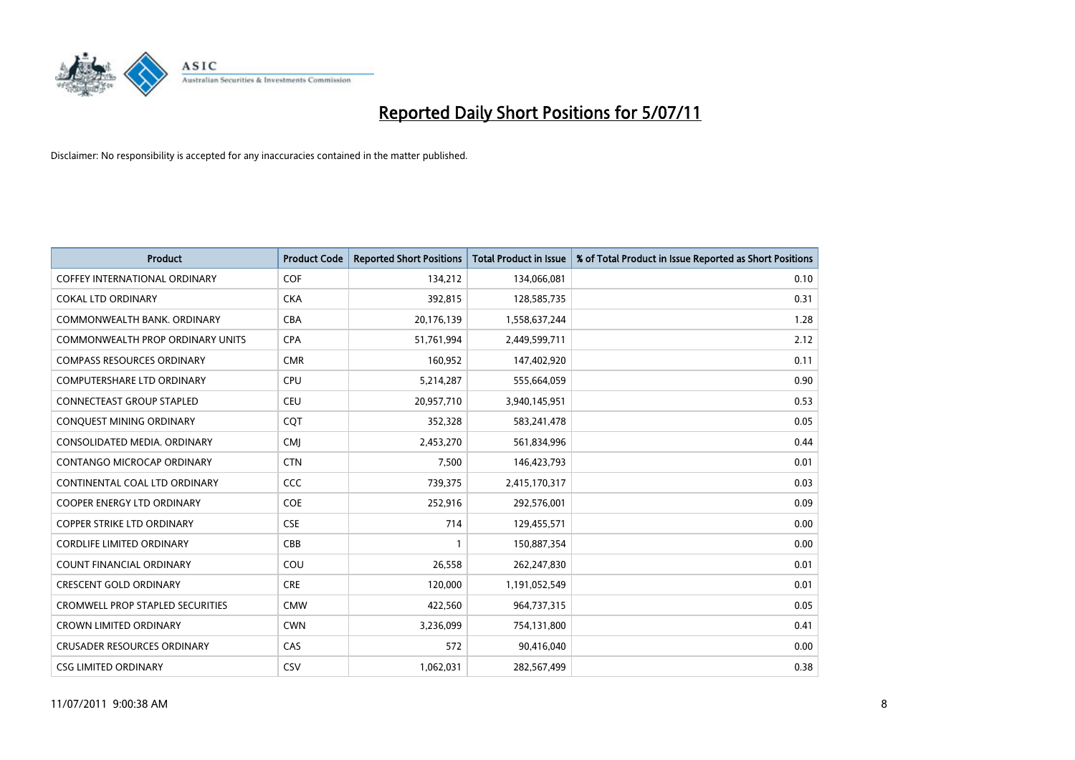

| <b>Product</b>                          | <b>Product Code</b> | <b>Reported Short Positions</b> | <b>Total Product in Issue</b> | % of Total Product in Issue Reported as Short Positions |
|-----------------------------------------|---------------------|---------------------------------|-------------------------------|---------------------------------------------------------|
| <b>COFFEY INTERNATIONAL ORDINARY</b>    | COF                 | 134,212                         | 134,066,081                   | 0.10                                                    |
| <b>COKAL LTD ORDINARY</b>               | <b>CKA</b>          | 392,815                         | 128,585,735                   | 0.31                                                    |
| COMMONWEALTH BANK, ORDINARY             | <b>CBA</b>          | 20,176,139                      | 1,558,637,244                 | 1.28                                                    |
| COMMONWEALTH PROP ORDINARY UNITS        | <b>CPA</b>          | 51,761,994                      | 2,449,599,711                 | 2.12                                                    |
| <b>COMPASS RESOURCES ORDINARY</b>       | <b>CMR</b>          | 160,952                         | 147,402,920                   | 0.11                                                    |
| <b>COMPUTERSHARE LTD ORDINARY</b>       | CPU                 | 5,214,287                       | 555,664,059                   | 0.90                                                    |
| <b>CONNECTEAST GROUP STAPLED</b>        | <b>CEU</b>          | 20,957,710                      | 3,940,145,951                 | 0.53                                                    |
| CONQUEST MINING ORDINARY                | CQT                 | 352,328                         | 583,241,478                   | 0.05                                                    |
| CONSOLIDATED MEDIA. ORDINARY            | <b>CMI</b>          | 2,453,270                       | 561,834,996                   | 0.44                                                    |
| CONTANGO MICROCAP ORDINARY              | <b>CTN</b>          | 7,500                           | 146,423,793                   | 0.01                                                    |
| CONTINENTAL COAL LTD ORDINARY           | CCC                 | 739,375                         | 2,415,170,317                 | 0.03                                                    |
| <b>COOPER ENERGY LTD ORDINARY</b>       | <b>COE</b>          | 252,916                         | 292,576,001                   | 0.09                                                    |
| <b>COPPER STRIKE LTD ORDINARY</b>       | <b>CSE</b>          | 714                             | 129,455,571                   | 0.00                                                    |
| CORDLIFE LIMITED ORDINARY               | CBB                 |                                 | 150,887,354                   | 0.00                                                    |
| <b>COUNT FINANCIAL ORDINARY</b>         | COU                 | 26,558                          | 262,247,830                   | 0.01                                                    |
| <b>CRESCENT GOLD ORDINARY</b>           | <b>CRE</b>          | 120,000                         | 1,191,052,549                 | 0.01                                                    |
| <b>CROMWELL PROP STAPLED SECURITIES</b> | <b>CMW</b>          | 422,560                         | 964,737,315                   | 0.05                                                    |
| <b>CROWN LIMITED ORDINARY</b>           | <b>CWN</b>          | 3,236,099                       | 754,131,800                   | 0.41                                                    |
| <b>CRUSADER RESOURCES ORDINARY</b>      | CAS                 | 572                             | 90,416,040                    | 0.00                                                    |
| <b>CSG LIMITED ORDINARY</b>             | CSV                 | 1,062,031                       | 282,567,499                   | 0.38                                                    |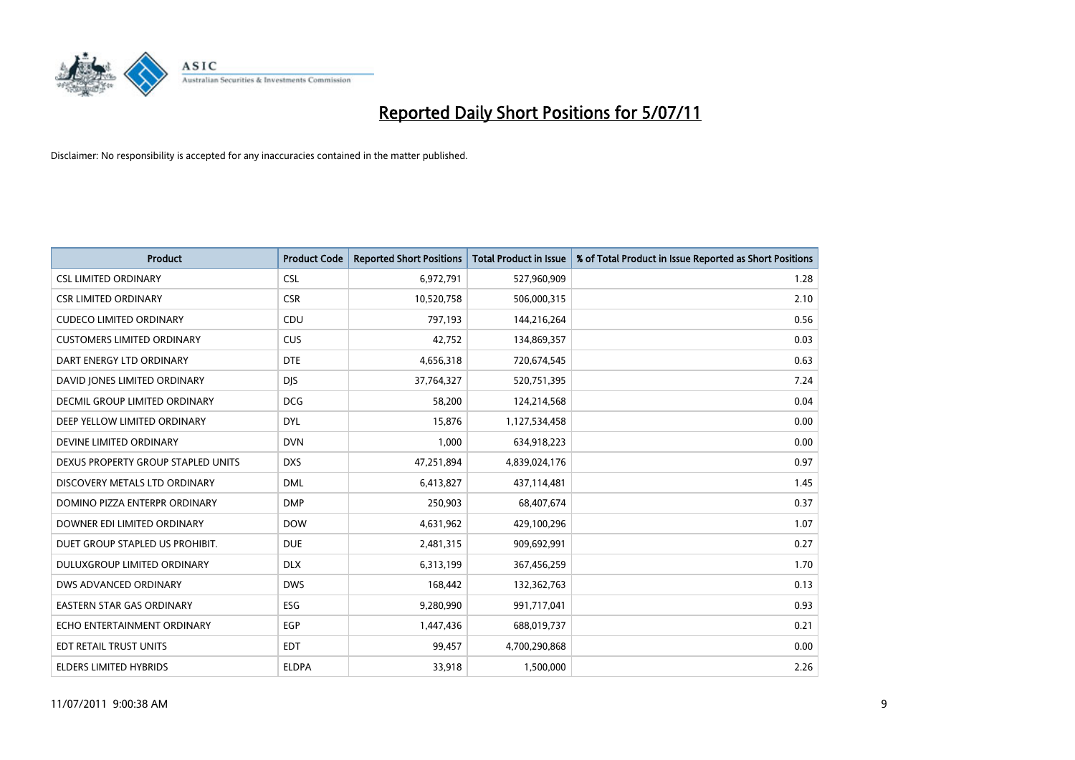

| <b>Product</b>                     | <b>Product Code</b> | <b>Reported Short Positions</b> | Total Product in Issue | % of Total Product in Issue Reported as Short Positions |
|------------------------------------|---------------------|---------------------------------|------------------------|---------------------------------------------------------|
| <b>CSL LIMITED ORDINARY</b>        | CSL                 | 6,972,791                       | 527,960,909            | 1.28                                                    |
| <b>CSR LIMITED ORDINARY</b>        | <b>CSR</b>          | 10,520,758                      | 506,000,315            | 2.10                                                    |
| <b>CUDECO LIMITED ORDINARY</b>     | CDU                 | 797,193                         | 144,216,264            | 0.56                                                    |
| <b>CUSTOMERS LIMITED ORDINARY</b>  | <b>CUS</b>          | 42,752                          | 134,869,357            | 0.03                                                    |
| DART ENERGY LTD ORDINARY           | <b>DTE</b>          | 4,656,318                       | 720,674,545            | 0.63                                                    |
| DAVID JONES LIMITED ORDINARY       | <b>DJS</b>          | 37,764,327                      | 520,751,395            | 7.24                                                    |
| DECMIL GROUP LIMITED ORDINARY      | <b>DCG</b>          | 58,200                          | 124,214,568            | 0.04                                                    |
| DEEP YELLOW LIMITED ORDINARY       | <b>DYL</b>          | 15,876                          | 1,127,534,458          | 0.00                                                    |
| DEVINE LIMITED ORDINARY            | <b>DVN</b>          | 1,000                           | 634,918,223            | 0.00                                                    |
| DEXUS PROPERTY GROUP STAPLED UNITS | <b>DXS</b>          | 47,251,894                      | 4,839,024,176          | 0.97                                                    |
| DISCOVERY METALS LTD ORDINARY      | <b>DML</b>          | 6,413,827                       | 437,114,481            | 1.45                                                    |
| DOMINO PIZZA ENTERPR ORDINARY      | <b>DMP</b>          | 250,903                         | 68,407,674             | 0.37                                                    |
| DOWNER EDI LIMITED ORDINARY        | <b>DOW</b>          | 4,631,962                       | 429,100,296            | 1.07                                                    |
| DUET GROUP STAPLED US PROHIBIT.    | <b>DUE</b>          | 2,481,315                       | 909,692,991            | 0.27                                                    |
| DULUXGROUP LIMITED ORDINARY        | <b>DLX</b>          | 6,313,199                       | 367,456,259            | 1.70                                                    |
| DWS ADVANCED ORDINARY              | <b>DWS</b>          | 168,442                         | 132,362,763            | 0.13                                                    |
| EASTERN STAR GAS ORDINARY          | ESG                 | 9,280,990                       | 991,717,041            | 0.93                                                    |
| ECHO ENTERTAINMENT ORDINARY        | <b>EGP</b>          | 1,447,436                       | 688,019,737            | 0.21                                                    |
| EDT RETAIL TRUST UNITS             | <b>EDT</b>          | 99,457                          | 4,700,290,868          | 0.00                                                    |
| ELDERS LIMITED HYBRIDS             | <b>ELDPA</b>        | 33,918                          | 1,500,000              | 2.26                                                    |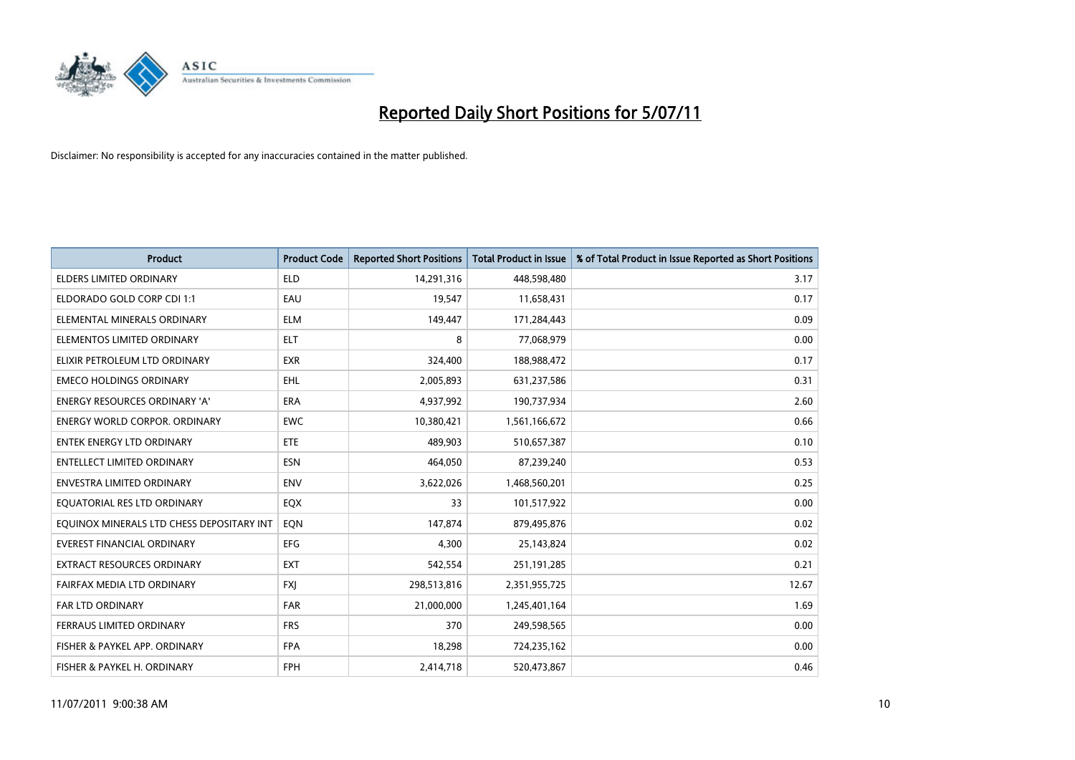

| <b>Product</b>                            | <b>Product Code</b> | <b>Reported Short Positions</b> | <b>Total Product in Issue</b> | % of Total Product in Issue Reported as Short Positions |
|-------------------------------------------|---------------------|---------------------------------|-------------------------------|---------------------------------------------------------|
| <b>ELDERS LIMITED ORDINARY</b>            | <b>ELD</b>          | 14,291,316                      | 448,598,480                   | 3.17                                                    |
| ELDORADO GOLD CORP CDI 1:1                | EAU                 | 19,547                          | 11,658,431                    | 0.17                                                    |
| ELEMENTAL MINERALS ORDINARY               | <b>ELM</b>          | 149,447                         | 171,284,443                   | 0.09                                                    |
| ELEMENTOS LIMITED ORDINARY                | <b>ELT</b>          | 8                               | 77,068,979                    | 0.00                                                    |
| ELIXIR PETROLEUM LTD ORDINARY             | <b>EXR</b>          | 324,400                         | 188,988,472                   | 0.17                                                    |
| <b>EMECO HOLDINGS ORDINARY</b>            | <b>EHL</b>          | 2,005,893                       | 631,237,586                   | 0.31                                                    |
| ENERGY RESOURCES ORDINARY 'A'             | <b>ERA</b>          | 4,937,992                       | 190,737,934                   | 2.60                                                    |
| ENERGY WORLD CORPOR. ORDINARY             | <b>EWC</b>          | 10,380,421                      | 1,561,166,672                 | 0.66                                                    |
| <b>ENTEK ENERGY LTD ORDINARY</b>          | ETE                 | 489.903                         | 510,657,387                   | 0.10                                                    |
| <b>ENTELLECT LIMITED ORDINARY</b>         | <b>ESN</b>          | 464,050                         | 87,239,240                    | 0.53                                                    |
| ENVESTRA LIMITED ORDINARY                 | <b>ENV</b>          | 3,622,026                       | 1,468,560,201                 | 0.25                                                    |
| EQUATORIAL RES LTD ORDINARY               | EQX                 | 33                              | 101,517,922                   | 0.00                                                    |
| EQUINOX MINERALS LTD CHESS DEPOSITARY INT | EON                 | 147,874                         | 879,495,876                   | 0.02                                                    |
| <b>EVEREST FINANCIAL ORDINARY</b>         | EFG                 | 4,300                           | 25,143,824                    | 0.02                                                    |
| <b>EXTRACT RESOURCES ORDINARY</b>         | <b>EXT</b>          | 542,554                         | 251,191,285                   | 0.21                                                    |
| FAIRFAX MEDIA LTD ORDINARY                | <b>FXI</b>          | 298,513,816                     | 2,351,955,725                 | 12.67                                                   |
| <b>FAR LTD ORDINARY</b>                   | <b>FAR</b>          | 21,000,000                      | 1,245,401,164                 | 1.69                                                    |
| FERRAUS LIMITED ORDINARY                  | <b>FRS</b>          | 370                             | 249,598,565                   | 0.00                                                    |
| FISHER & PAYKEL APP. ORDINARY             | <b>FPA</b>          | 18,298                          | 724,235,162                   | 0.00                                                    |
| FISHER & PAYKEL H. ORDINARY               | <b>FPH</b>          | 2,414,718                       | 520,473,867                   | 0.46                                                    |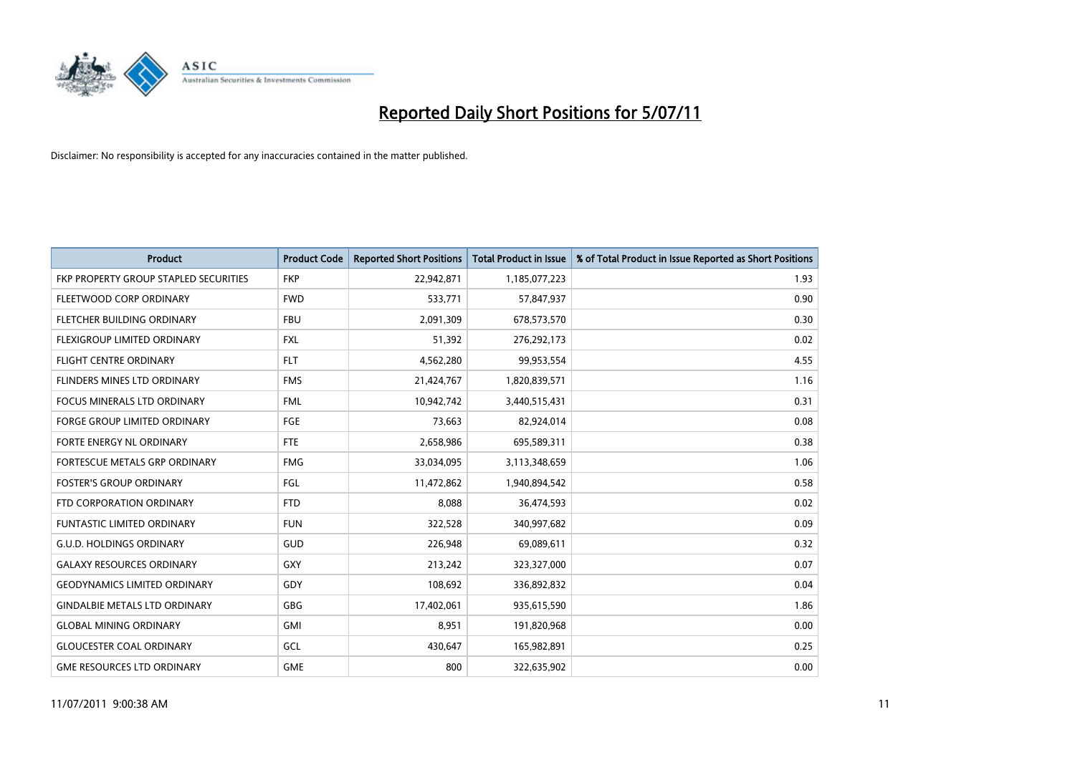

| <b>Product</b>                        | <b>Product Code</b> | <b>Reported Short Positions</b> | <b>Total Product in Issue</b> | % of Total Product in Issue Reported as Short Positions |
|---------------------------------------|---------------------|---------------------------------|-------------------------------|---------------------------------------------------------|
| FKP PROPERTY GROUP STAPLED SECURITIES | <b>FKP</b>          | 22,942,871                      | 1,185,077,223                 | 1.93                                                    |
| FLEETWOOD CORP ORDINARY               | <b>FWD</b>          | 533,771                         | 57,847,937                    | 0.90                                                    |
| FLETCHER BUILDING ORDINARY            | <b>FBU</b>          | 2,091,309                       | 678,573,570                   | 0.30                                                    |
| FLEXIGROUP LIMITED ORDINARY           | <b>FXL</b>          | 51,392                          | 276,292,173                   | 0.02                                                    |
| <b>FLIGHT CENTRE ORDINARY</b>         | <b>FLT</b>          | 4,562,280                       | 99,953,554                    | 4.55                                                    |
| <b>FLINDERS MINES LTD ORDINARY</b>    | <b>FMS</b>          | 21,424,767                      | 1,820,839,571                 | 1.16                                                    |
| <b>FOCUS MINERALS LTD ORDINARY</b>    | <b>FML</b>          | 10,942,742                      | 3,440,515,431                 | 0.31                                                    |
| <b>FORGE GROUP LIMITED ORDINARY</b>   | FGE                 | 73,663                          | 82,924,014                    | 0.08                                                    |
| FORTE ENERGY NL ORDINARY              | <b>FTE</b>          | 2,658,986                       | 695,589,311                   | 0.38                                                    |
| FORTESCUE METALS GRP ORDINARY         | <b>FMG</b>          | 33,034,095                      | 3,113,348,659                 | 1.06                                                    |
| <b>FOSTER'S GROUP ORDINARY</b>        | FGL                 | 11,472,862                      | 1,940,894,542                 | 0.58                                                    |
| FTD CORPORATION ORDINARY              | <b>FTD</b>          | 8,088                           | 36,474,593                    | 0.02                                                    |
| <b>FUNTASTIC LIMITED ORDINARY</b>     | <b>FUN</b>          | 322,528                         | 340,997,682                   | 0.09                                                    |
| <b>G.U.D. HOLDINGS ORDINARY</b>       | GUD                 | 226,948                         | 69,089,611                    | 0.32                                                    |
| <b>GALAXY RESOURCES ORDINARY</b>      | GXY                 | 213,242                         | 323,327,000                   | 0.07                                                    |
| <b>GEODYNAMICS LIMITED ORDINARY</b>   | GDY                 | 108,692                         | 336,892,832                   | 0.04                                                    |
| <b>GINDALBIE METALS LTD ORDINARY</b>  | GBG                 | 17,402,061                      | 935,615,590                   | 1.86                                                    |
| <b>GLOBAL MINING ORDINARY</b>         | <b>GMI</b>          | 8,951                           | 191,820,968                   | 0.00                                                    |
| <b>GLOUCESTER COAL ORDINARY</b>       | GCL                 | 430,647                         | 165,982,891                   | 0.25                                                    |
| <b>GME RESOURCES LTD ORDINARY</b>     | <b>GME</b>          | 800                             | 322,635,902                   | 0.00                                                    |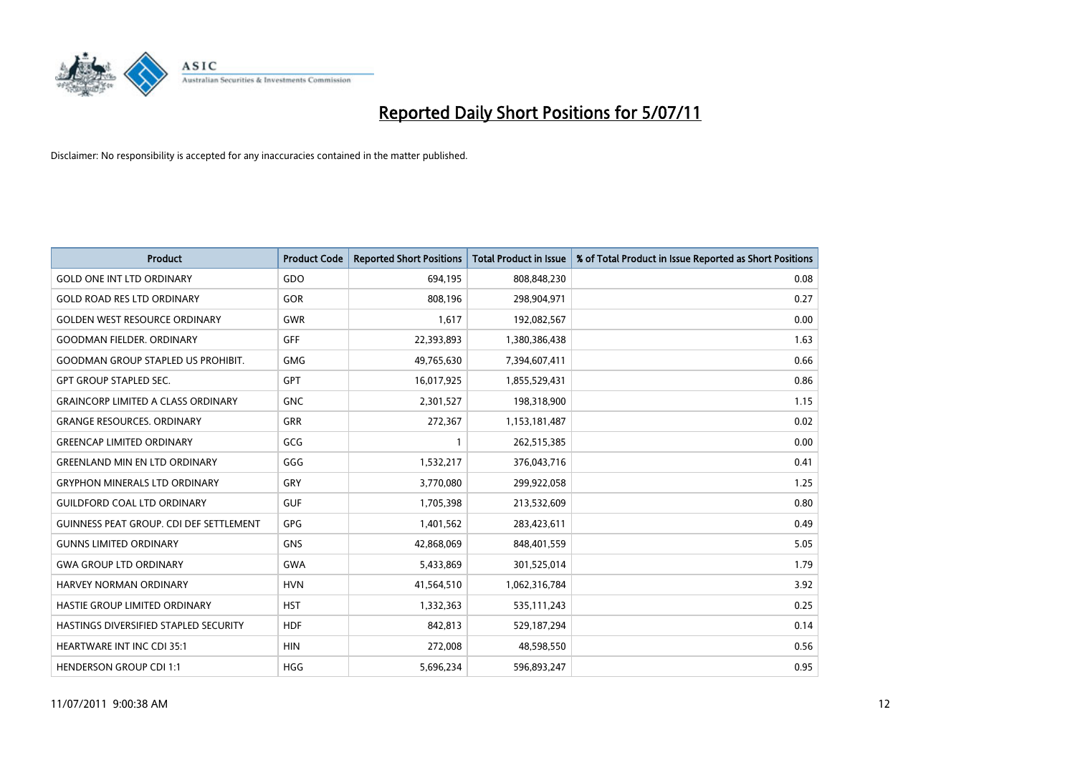

| <b>Product</b>                                 | <b>Product Code</b> | <b>Reported Short Positions</b> | <b>Total Product in Issue</b> | % of Total Product in Issue Reported as Short Positions |
|------------------------------------------------|---------------------|---------------------------------|-------------------------------|---------------------------------------------------------|
| <b>GOLD ONE INT LTD ORDINARY</b>               | GDO                 | 694,195                         | 808,848,230                   | 0.08                                                    |
| <b>GOLD ROAD RES LTD ORDINARY</b>              | GOR                 | 808.196                         | 298,904,971                   | 0.27                                                    |
| <b>GOLDEN WEST RESOURCE ORDINARY</b>           | <b>GWR</b>          | 1,617                           | 192,082,567                   | 0.00                                                    |
| <b>GOODMAN FIELDER. ORDINARY</b>               | <b>GFF</b>          | 22,393,893                      | 1,380,386,438                 | 1.63                                                    |
| <b>GOODMAN GROUP STAPLED US PROHIBIT.</b>      | <b>GMG</b>          | 49,765,630                      | 7,394,607,411                 | 0.66                                                    |
| <b>GPT GROUP STAPLED SEC.</b>                  | <b>GPT</b>          | 16,017,925                      | 1,855,529,431                 | 0.86                                                    |
| <b>GRAINCORP LIMITED A CLASS ORDINARY</b>      | <b>GNC</b>          | 2,301,527                       | 198,318,900                   | 1.15                                                    |
| <b>GRANGE RESOURCES, ORDINARY</b>              | GRR                 | 272,367                         | 1,153,181,487                 | 0.02                                                    |
| <b>GREENCAP LIMITED ORDINARY</b>               | GCG                 |                                 | 262,515,385                   | 0.00                                                    |
| <b>GREENLAND MIN EN LTD ORDINARY</b>           | GGG                 | 1,532,217                       | 376,043,716                   | 0.41                                                    |
| <b>GRYPHON MINERALS LTD ORDINARY</b>           | <b>GRY</b>          | 3,770,080                       | 299,922,058                   | 1.25                                                    |
| <b>GUILDFORD COAL LTD ORDINARY</b>             | <b>GUF</b>          | 1,705,398                       | 213,532,609                   | 0.80                                                    |
| <b>GUINNESS PEAT GROUP. CDI DEF SETTLEMENT</b> | GPG                 | 1,401,562                       | 283,423,611                   | 0.49                                                    |
| <b>GUNNS LIMITED ORDINARY</b>                  | <b>GNS</b>          | 42,868,069                      | 848,401,559                   | 5.05                                                    |
| <b>GWA GROUP LTD ORDINARY</b>                  | <b>GWA</b>          | 5,433,869                       | 301,525,014                   | 1.79                                                    |
| <b>HARVEY NORMAN ORDINARY</b>                  | <b>HVN</b>          | 41,564,510                      | 1,062,316,784                 | 3.92                                                    |
| HASTIE GROUP LIMITED ORDINARY                  | <b>HST</b>          | 1,332,363                       | 535,111,243                   | 0.25                                                    |
| HASTINGS DIVERSIFIED STAPLED SECURITY          | <b>HDF</b>          | 842,813                         | 529,187,294                   | 0.14                                                    |
| <b>HEARTWARE INT INC CDI 35:1</b>              | <b>HIN</b>          | 272,008                         | 48,598,550                    | 0.56                                                    |
| <b>HENDERSON GROUP CDI 1:1</b>                 | <b>HGG</b>          | 5,696,234                       | 596,893,247                   | 0.95                                                    |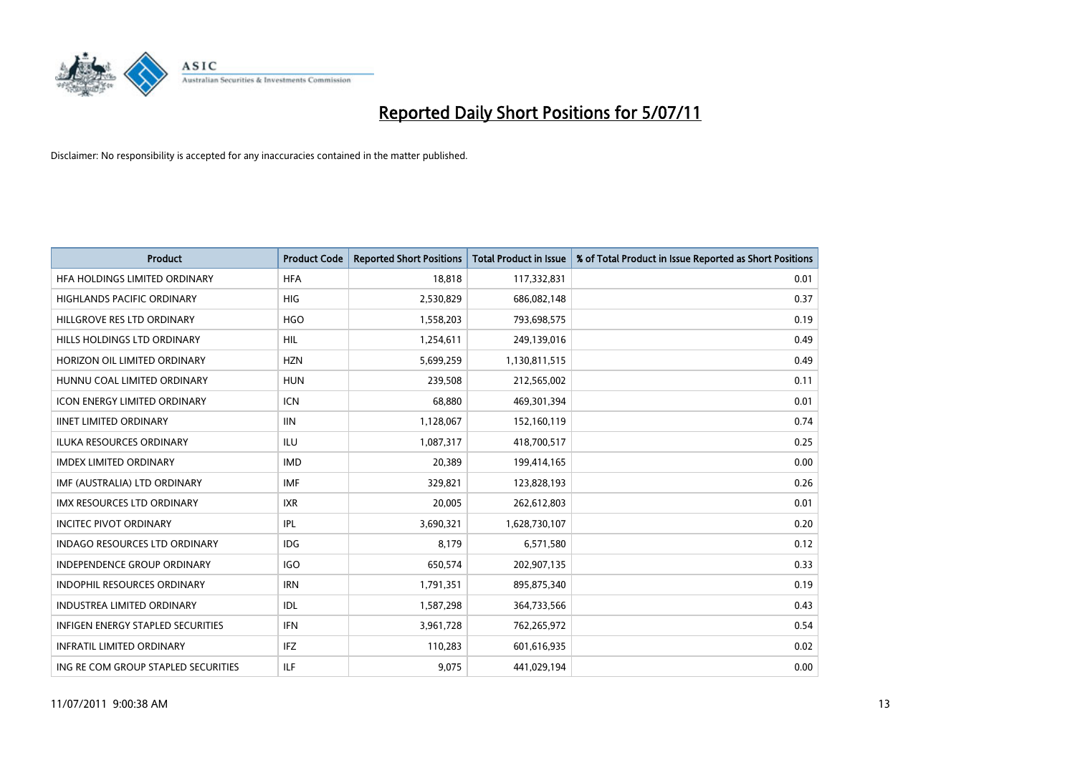

| <b>Product</b>                       | <b>Product Code</b> | <b>Reported Short Positions</b> | <b>Total Product in Issue</b> | % of Total Product in Issue Reported as Short Positions |
|--------------------------------------|---------------------|---------------------------------|-------------------------------|---------------------------------------------------------|
| HFA HOLDINGS LIMITED ORDINARY        | <b>HFA</b>          | 18,818                          | 117,332,831                   | 0.01                                                    |
| <b>HIGHLANDS PACIFIC ORDINARY</b>    | <b>HIG</b>          | 2,530,829                       | 686,082,148                   | 0.37                                                    |
| HILLGROVE RES LTD ORDINARY           | <b>HGO</b>          | 1,558,203                       | 793,698,575                   | 0.19                                                    |
| HILLS HOLDINGS LTD ORDINARY          | HIL                 | 1,254,611                       | 249,139,016                   | 0.49                                                    |
| HORIZON OIL LIMITED ORDINARY         | <b>HZN</b>          | 5,699,259                       | 1,130,811,515                 | 0.49                                                    |
| HUNNU COAL LIMITED ORDINARY          | <b>HUN</b>          | 239,508                         | 212,565,002                   | 0.11                                                    |
| <b>ICON ENERGY LIMITED ORDINARY</b>  | <b>ICN</b>          | 68.880                          | 469,301,394                   | 0.01                                                    |
| <b>IINET LIMITED ORDINARY</b>        | <b>IIN</b>          | 1,128,067                       | 152,160,119                   | 0.74                                                    |
| ILUKA RESOURCES ORDINARY             | ILU                 | 1,087,317                       | 418,700,517                   | 0.25                                                    |
| <b>IMDEX LIMITED ORDINARY</b>        | <b>IMD</b>          | 20,389                          | 199,414,165                   | 0.00                                                    |
| IMF (AUSTRALIA) LTD ORDINARY         | <b>IMF</b>          | 329,821                         | 123,828,193                   | 0.26                                                    |
| <b>IMX RESOURCES LTD ORDINARY</b>    | <b>IXR</b>          | 20,005                          | 262,612,803                   | 0.01                                                    |
| <b>INCITEC PIVOT ORDINARY</b>        | <b>IPL</b>          | 3,690,321                       | 1,628,730,107                 | 0.20                                                    |
| <b>INDAGO RESOURCES LTD ORDINARY</b> | IDG                 | 8,179                           | 6,571,580                     | 0.12                                                    |
| <b>INDEPENDENCE GROUP ORDINARY</b>   | <b>IGO</b>          | 650,574                         | 202,907,135                   | 0.33                                                    |
| <b>INDOPHIL RESOURCES ORDINARY</b>   | <b>IRN</b>          | 1,791,351                       | 895,875,340                   | 0.19                                                    |
| <b>INDUSTREA LIMITED ORDINARY</b>    | IDL                 | 1,587,298                       | 364,733,566                   | 0.43                                                    |
| INFIGEN ENERGY STAPLED SECURITIES    | <b>IFN</b>          | 3,961,728                       | 762,265,972                   | 0.54                                                    |
| <b>INFRATIL LIMITED ORDINARY</b>     | <b>IFZ</b>          | 110,283                         | 601,616,935                   | 0.02                                                    |
| ING RE COM GROUP STAPLED SECURITIES  | <b>ILF</b>          | 9.075                           | 441,029,194                   | 0.00                                                    |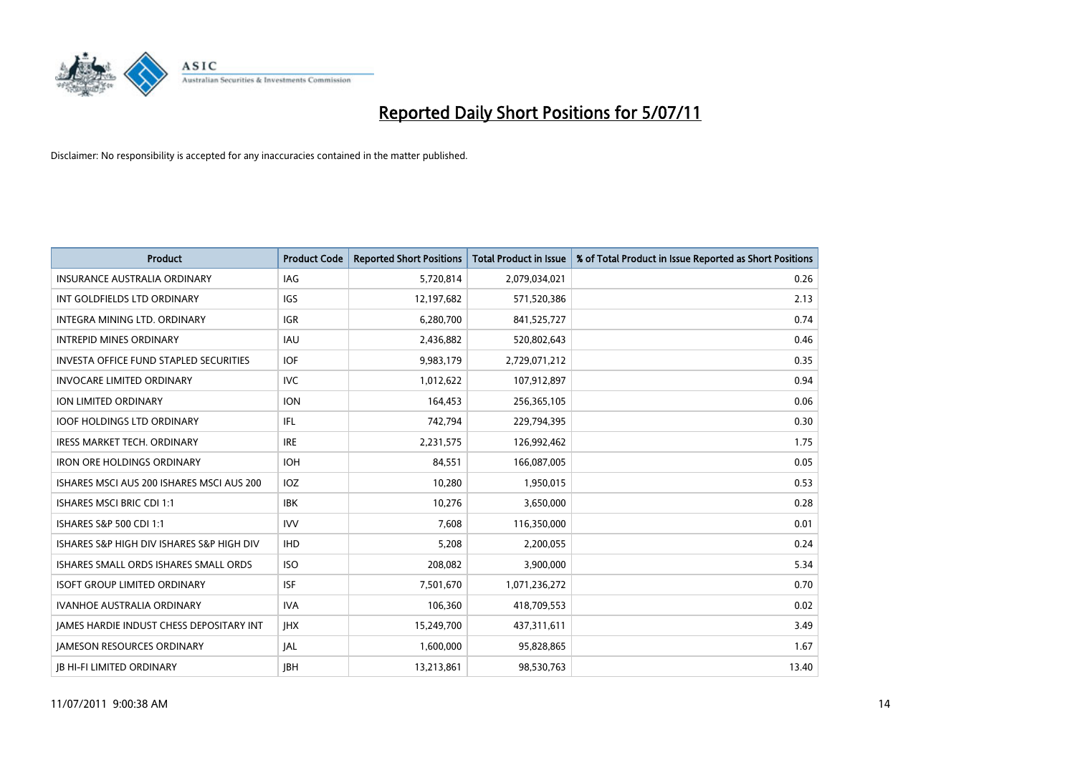

| <b>Product</b>                                  | <b>Product Code</b> | <b>Reported Short Positions</b> | <b>Total Product in Issue</b> | % of Total Product in Issue Reported as Short Positions |
|-------------------------------------------------|---------------------|---------------------------------|-------------------------------|---------------------------------------------------------|
| <b>INSURANCE AUSTRALIA ORDINARY</b>             | <b>IAG</b>          | 5,720,814                       | 2,079,034,021                 | 0.26                                                    |
| INT GOLDFIELDS LTD ORDINARY                     | <b>IGS</b>          | 12,197,682                      | 571,520,386                   | 2.13                                                    |
| INTEGRA MINING LTD. ORDINARY                    | <b>IGR</b>          | 6,280,700                       | 841,525,727                   | 0.74                                                    |
| <b>INTREPID MINES ORDINARY</b>                  | <b>IAU</b>          | 2,436,882                       | 520,802,643                   | 0.46                                                    |
| <b>INVESTA OFFICE FUND STAPLED SECURITIES</b>   | <b>IOF</b>          | 9,983,179                       | 2,729,071,212                 | 0.35                                                    |
| <b>INVOCARE LIMITED ORDINARY</b>                | <b>IVC</b>          | 1,012,622                       | 107,912,897                   | 0.94                                                    |
| ION LIMITED ORDINARY                            | <b>ION</b>          | 164,453                         | 256,365,105                   | 0.06                                                    |
| <b>IOOF HOLDINGS LTD ORDINARY</b>               | <b>IFL</b>          | 742,794                         | 229,794,395                   | 0.30                                                    |
| <b>IRESS MARKET TECH. ORDINARY</b>              | <b>IRE</b>          | 2,231,575                       | 126,992,462                   | 1.75                                                    |
| <b>IRON ORE HOLDINGS ORDINARY</b>               | <b>IOH</b>          | 84,551                          | 166,087,005                   | 0.05                                                    |
| ISHARES MSCI AUS 200 ISHARES MSCI AUS 200       | <b>IOZ</b>          | 10,280                          | 1,950,015                     | 0.53                                                    |
| <b>ISHARES MSCI BRIC CDI 1:1</b>                | <b>IBK</b>          | 10,276                          | 3,650,000                     | 0.28                                                    |
| ISHARES S&P 500 CDI 1:1                         | <b>IVV</b>          | 7,608                           | 116,350,000                   | 0.01                                                    |
| ISHARES S&P HIGH DIV ISHARES S&P HIGH DIV       | <b>IHD</b>          | 5,208                           | 2,200,055                     | 0.24                                                    |
| ISHARES SMALL ORDS ISHARES SMALL ORDS           | <b>ISO</b>          | 208,082                         | 3,900,000                     | 5.34                                                    |
| <b>ISOFT GROUP LIMITED ORDINARY</b>             | <b>ISF</b>          | 7,501,670                       | 1,071,236,272                 | 0.70                                                    |
| <b>IVANHOE AUSTRALIA ORDINARY</b>               | <b>IVA</b>          | 106,360                         | 418,709,553                   | 0.02                                                    |
| <b>JAMES HARDIE INDUST CHESS DEPOSITARY INT</b> | <b>IHX</b>          | 15,249,700                      | 437,311,611                   | 3.49                                                    |
| <b>IAMESON RESOURCES ORDINARY</b>               | <b>JAL</b>          | 1,600,000                       | 95,828,865                    | 1.67                                                    |
| <b>IB HI-FI LIMITED ORDINARY</b>                | <b>IBH</b>          | 13,213,861                      | 98,530,763                    | 13.40                                                   |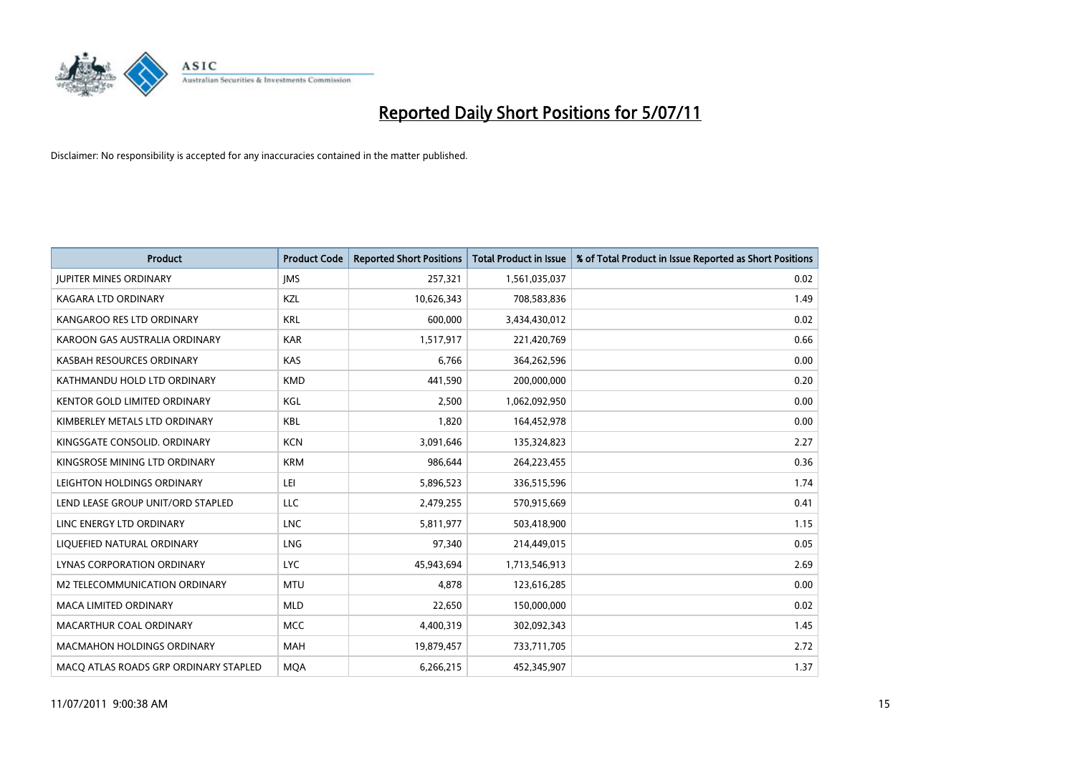

| <b>Product</b>                        | <b>Product Code</b> | <b>Reported Short Positions</b> | <b>Total Product in Issue</b> | % of Total Product in Issue Reported as Short Positions |
|---------------------------------------|---------------------|---------------------------------|-------------------------------|---------------------------------------------------------|
| <b>JUPITER MINES ORDINARY</b>         | <b>IMS</b>          | 257,321                         | 1,561,035,037                 | 0.02                                                    |
| KAGARA LTD ORDINARY                   | KZL                 | 10,626,343                      | 708,583,836                   | 1.49                                                    |
| KANGAROO RES LTD ORDINARY             | <b>KRL</b>          | 600,000                         | 3,434,430,012                 | 0.02                                                    |
| KAROON GAS AUSTRALIA ORDINARY         | <b>KAR</b>          | 1,517,917                       | 221,420,769                   | 0.66                                                    |
| KASBAH RESOURCES ORDINARY             | <b>KAS</b>          | 6,766                           | 364,262,596                   | 0.00                                                    |
| KATHMANDU HOLD LTD ORDINARY           | <b>KMD</b>          | 441,590                         | 200,000,000                   | 0.20                                                    |
| <b>KENTOR GOLD LIMITED ORDINARY</b>   | KGL                 | 2,500                           | 1,062,092,950                 | 0.00                                                    |
| KIMBERLEY METALS LTD ORDINARY         | <b>KBL</b>          | 1,820                           | 164,452,978                   | 0.00                                                    |
| KINGSGATE CONSOLID. ORDINARY          | <b>KCN</b>          | 3,091,646                       | 135,324,823                   | 2.27                                                    |
| KINGSROSE MINING LTD ORDINARY         | <b>KRM</b>          | 986.644                         | 264,223,455                   | 0.36                                                    |
| LEIGHTON HOLDINGS ORDINARY            | LEI                 | 5,896,523                       | 336,515,596                   | 1.74                                                    |
| LEND LEASE GROUP UNIT/ORD STAPLED     | LLC                 | 2,479,255                       | 570,915,669                   | 0.41                                                    |
| LINC ENERGY LTD ORDINARY              | <b>LNC</b>          | 5.811.977                       | 503,418,900                   | 1.15                                                    |
| LIQUEFIED NATURAL ORDINARY            | LNG                 | 97,340                          | 214,449,015                   | 0.05                                                    |
| LYNAS CORPORATION ORDINARY            | <b>LYC</b>          | 45,943,694                      | 1,713,546,913                 | 2.69                                                    |
| <b>M2 TELECOMMUNICATION ORDINARY</b>  | <b>MTU</b>          | 4,878                           | 123,616,285                   | 0.00                                                    |
| <b>MACA LIMITED ORDINARY</b>          | <b>MLD</b>          | 22,650                          | 150,000,000                   | 0.02                                                    |
| MACARTHUR COAL ORDINARY               | <b>MCC</b>          | 4,400,319                       | 302,092,343                   | 1.45                                                    |
| <b>MACMAHON HOLDINGS ORDINARY</b>     | <b>MAH</b>          | 19,879,457                      | 733,711,705                   | 2.72                                                    |
| MACO ATLAS ROADS GRP ORDINARY STAPLED | <b>MOA</b>          | 6,266,215                       | 452,345,907                   | 1.37                                                    |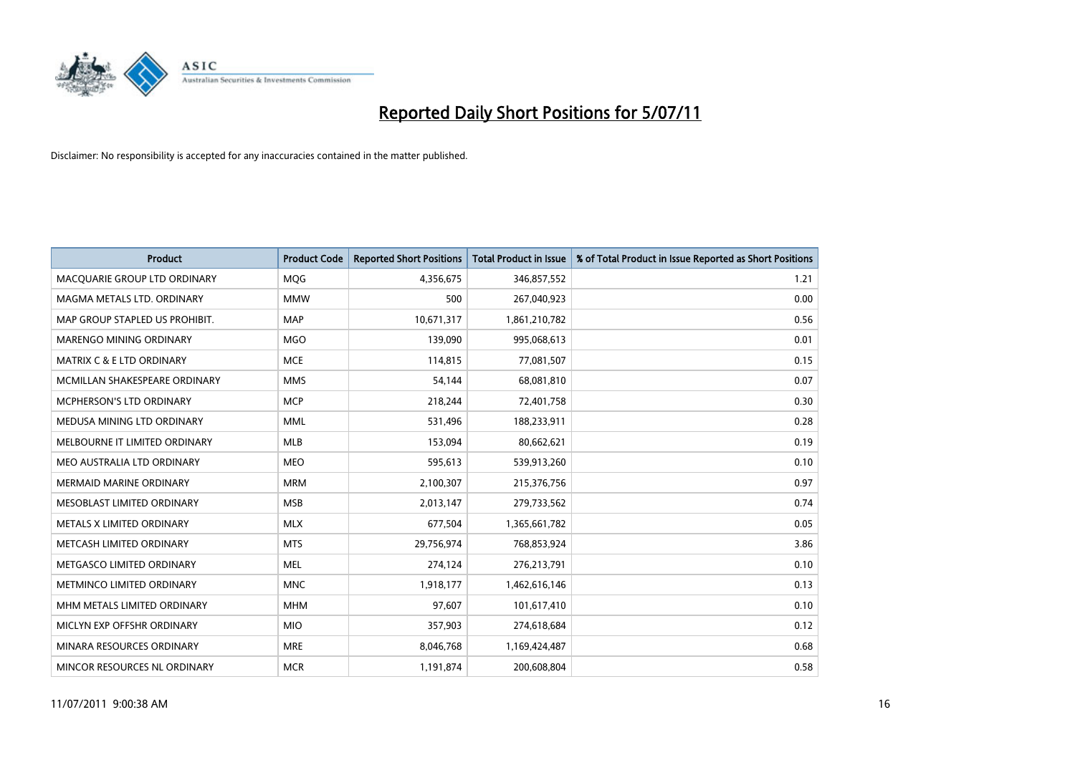

| <b>Product</b>                       | <b>Product Code</b> | <b>Reported Short Positions</b> | <b>Total Product in Issue</b> | % of Total Product in Issue Reported as Short Positions |
|--------------------------------------|---------------------|---------------------------------|-------------------------------|---------------------------------------------------------|
| MACQUARIE GROUP LTD ORDINARY         | <b>MQG</b>          | 4,356,675                       | 346,857,552                   | 1.21                                                    |
| MAGMA METALS LTD. ORDINARY           | <b>MMW</b>          | 500                             | 267,040,923                   | 0.00                                                    |
| MAP GROUP STAPLED US PROHIBIT.       | <b>MAP</b>          | 10,671,317                      | 1,861,210,782                 | 0.56                                                    |
| MARENGO MINING ORDINARY              | <b>MGO</b>          | 139,090                         | 995,068,613                   | 0.01                                                    |
| <b>MATRIX C &amp; E LTD ORDINARY</b> | <b>MCE</b>          | 114,815                         | 77,081,507                    | 0.15                                                    |
| MCMILLAN SHAKESPEARE ORDINARY        | <b>MMS</b>          | 54,144                          | 68,081,810                    | 0.07                                                    |
| MCPHERSON'S LTD ORDINARY             | <b>MCP</b>          | 218,244                         | 72,401,758                    | 0.30                                                    |
| MEDUSA MINING LTD ORDINARY           | <b>MML</b>          | 531,496                         | 188,233,911                   | 0.28                                                    |
| MELBOURNE IT LIMITED ORDINARY        | MLB                 | 153,094                         | 80,662,621                    | 0.19                                                    |
| MEO AUSTRALIA LTD ORDINARY           | <b>MEO</b>          | 595,613                         | 539,913,260                   | 0.10                                                    |
| <b>MERMAID MARINE ORDINARY</b>       | <b>MRM</b>          | 2,100,307                       | 215,376,756                   | 0.97                                                    |
| MESOBLAST LIMITED ORDINARY           | <b>MSB</b>          | 2,013,147                       | 279,733,562                   | 0.74                                                    |
| METALS X LIMITED ORDINARY            | <b>MLX</b>          | 677,504                         | 1,365,661,782                 | 0.05                                                    |
| METCASH LIMITED ORDINARY             | <b>MTS</b>          | 29,756,974                      | 768,853,924                   | 3.86                                                    |
| METGASCO LIMITED ORDINARY            | <b>MEL</b>          | 274,124                         | 276,213,791                   | 0.10                                                    |
| METMINCO LIMITED ORDINARY            | <b>MNC</b>          | 1,918,177                       | 1,462,616,146                 | 0.13                                                    |
| MHM METALS LIMITED ORDINARY          | <b>MHM</b>          | 97,607                          | 101,617,410                   | 0.10                                                    |
| MICLYN EXP OFFSHR ORDINARY           | <b>MIO</b>          | 357,903                         | 274,618,684                   | 0.12                                                    |
| MINARA RESOURCES ORDINARY            | <b>MRE</b>          | 8,046,768                       | 1,169,424,487                 | 0.68                                                    |
| MINCOR RESOURCES NL ORDINARY         | <b>MCR</b>          | 1,191,874                       | 200,608,804                   | 0.58                                                    |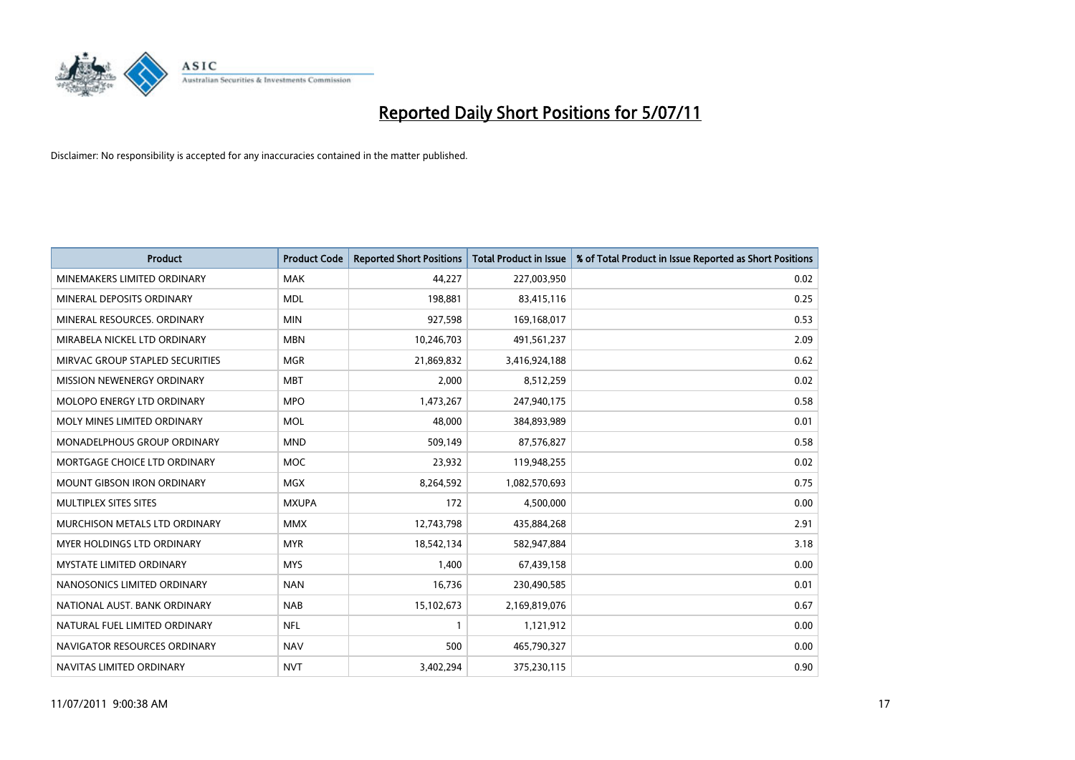

| <b>Product</b>                    | <b>Product Code</b> | <b>Reported Short Positions</b> | <b>Total Product in Issue</b> | % of Total Product in Issue Reported as Short Positions |
|-----------------------------------|---------------------|---------------------------------|-------------------------------|---------------------------------------------------------|
| MINEMAKERS LIMITED ORDINARY       | <b>MAK</b>          | 44,227                          | 227,003,950                   | 0.02                                                    |
| MINERAL DEPOSITS ORDINARY         | <b>MDL</b>          | 198,881                         | 83,415,116                    | 0.25                                                    |
| MINERAL RESOURCES, ORDINARY       | <b>MIN</b>          | 927,598                         | 169,168,017                   | 0.53                                                    |
| MIRABELA NICKEL LTD ORDINARY      | <b>MBN</b>          | 10,246,703                      | 491,561,237                   | 2.09                                                    |
| MIRVAC GROUP STAPLED SECURITIES   | <b>MGR</b>          | 21,869,832                      | 3,416,924,188                 | 0.62                                                    |
| MISSION NEWENERGY ORDINARY        | <b>MBT</b>          | 2,000                           | 8,512,259                     | 0.02                                                    |
| <b>MOLOPO ENERGY LTD ORDINARY</b> | <b>MPO</b>          | 1,473,267                       | 247,940,175                   | 0.58                                                    |
| MOLY MINES LIMITED ORDINARY       | <b>MOL</b>          | 48,000                          | 384,893,989                   | 0.01                                                    |
| MONADELPHOUS GROUP ORDINARY       | <b>MND</b>          | 509,149                         | 87,576,827                    | 0.58                                                    |
| MORTGAGE CHOICE LTD ORDINARY      | <b>MOC</b>          | 23,932                          | 119,948,255                   | 0.02                                                    |
| MOUNT GIBSON IRON ORDINARY        | <b>MGX</b>          | 8,264,592                       | 1,082,570,693                 | 0.75                                                    |
| MULTIPLEX SITES SITES             | <b>MXUPA</b>        | 172                             | 4,500,000                     | 0.00                                                    |
| MURCHISON METALS LTD ORDINARY     | <b>MMX</b>          | 12,743,798                      | 435,884,268                   | 2.91                                                    |
| <b>MYER HOLDINGS LTD ORDINARY</b> | <b>MYR</b>          | 18,542,134                      | 582,947,884                   | 3.18                                                    |
| <b>MYSTATE LIMITED ORDINARY</b>   | <b>MYS</b>          | 1,400                           | 67,439,158                    | 0.00                                                    |
| NANOSONICS LIMITED ORDINARY       | <b>NAN</b>          | 16,736                          | 230,490,585                   | 0.01                                                    |
| NATIONAL AUST. BANK ORDINARY      | <b>NAB</b>          | 15,102,673                      | 2,169,819,076                 | 0.67                                                    |
| NATURAL FUEL LIMITED ORDINARY     | <b>NFL</b>          | $\mathbf{1}$                    | 1,121,912                     | 0.00                                                    |
| NAVIGATOR RESOURCES ORDINARY      | <b>NAV</b>          | 500                             | 465,790,327                   | 0.00                                                    |
| NAVITAS LIMITED ORDINARY          | <b>NVT</b>          | 3,402,294                       | 375,230,115                   | 0.90                                                    |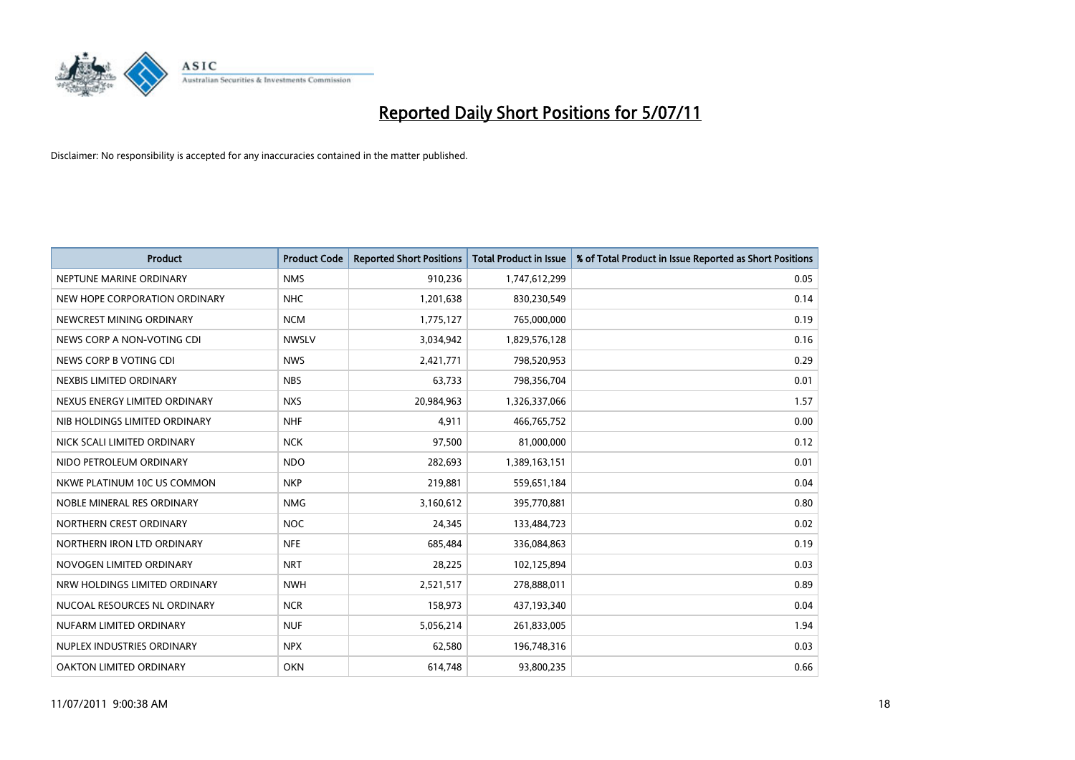

| <b>Product</b>                | <b>Product Code</b> | <b>Reported Short Positions</b> | <b>Total Product in Issue</b> | % of Total Product in Issue Reported as Short Positions |
|-------------------------------|---------------------|---------------------------------|-------------------------------|---------------------------------------------------------|
| NEPTUNE MARINE ORDINARY       | <b>NMS</b>          | 910,236                         | 1,747,612,299                 | 0.05                                                    |
| NEW HOPE CORPORATION ORDINARY | <b>NHC</b>          | 1,201,638                       | 830,230,549                   | 0.14                                                    |
| NEWCREST MINING ORDINARY      | <b>NCM</b>          | 1,775,127                       | 765,000,000                   | 0.19                                                    |
| NEWS CORP A NON-VOTING CDI    | <b>NWSLV</b>        | 3,034,942                       | 1,829,576,128                 | 0.16                                                    |
| NEWS CORP B VOTING CDI        | <b>NWS</b>          | 2,421,771                       | 798,520,953                   | 0.29                                                    |
| NEXBIS LIMITED ORDINARY       | <b>NBS</b>          | 63,733                          | 798,356,704                   | 0.01                                                    |
| NEXUS ENERGY LIMITED ORDINARY | <b>NXS</b>          | 20,984,963                      | 1,326,337,066                 | 1.57                                                    |
| NIB HOLDINGS LIMITED ORDINARY | <b>NHF</b>          | 4,911                           | 466,765,752                   | 0.00                                                    |
| NICK SCALI LIMITED ORDINARY   | <b>NCK</b>          | 97,500                          | 81,000,000                    | 0.12                                                    |
| NIDO PETROLEUM ORDINARY       | <b>NDO</b>          | 282,693                         | 1,389,163,151                 | 0.01                                                    |
| NKWE PLATINUM 10C US COMMON   | <b>NKP</b>          | 219,881                         | 559,651,184                   | 0.04                                                    |
| NOBLE MINERAL RES ORDINARY    | <b>NMG</b>          | 3,160,612                       | 395,770,881                   | 0.80                                                    |
| NORTHERN CREST ORDINARY       | <b>NOC</b>          | 24,345                          | 133,484,723                   | 0.02                                                    |
| NORTHERN IRON LTD ORDINARY    | <b>NFE</b>          | 685,484                         | 336,084,863                   | 0.19                                                    |
| NOVOGEN LIMITED ORDINARY      | <b>NRT</b>          | 28,225                          | 102,125,894                   | 0.03                                                    |
| NRW HOLDINGS LIMITED ORDINARY | <b>NWH</b>          | 2,521,517                       | 278,888,011                   | 0.89                                                    |
| NUCOAL RESOURCES NL ORDINARY  | <b>NCR</b>          | 158,973                         | 437,193,340                   | 0.04                                                    |
| NUFARM LIMITED ORDINARY       | <b>NUF</b>          | 5,056,214                       | 261,833,005                   | 1.94                                                    |
| NUPLEX INDUSTRIES ORDINARY    | <b>NPX</b>          | 62,580                          | 196,748,316                   | 0.03                                                    |
| OAKTON LIMITED ORDINARY       | <b>OKN</b>          | 614,748                         | 93,800,235                    | 0.66                                                    |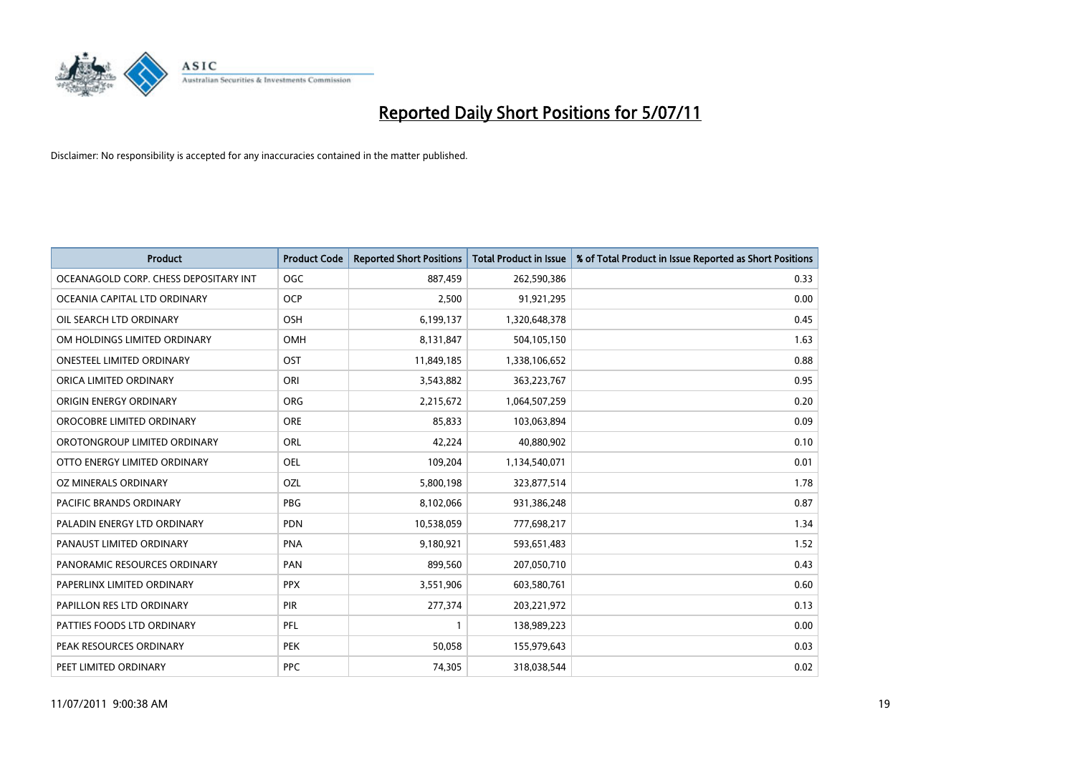

| <b>Product</b>                        | <b>Product Code</b> | <b>Reported Short Positions</b> | <b>Total Product in Issue</b> | % of Total Product in Issue Reported as Short Positions |
|---------------------------------------|---------------------|---------------------------------|-------------------------------|---------------------------------------------------------|
| OCEANAGOLD CORP. CHESS DEPOSITARY INT | <b>OGC</b>          | 887,459                         | 262,590,386                   | 0.33                                                    |
| OCEANIA CAPITAL LTD ORDINARY          | <b>OCP</b>          | 2,500                           | 91,921,295                    | 0.00                                                    |
| OIL SEARCH LTD ORDINARY               | OSH                 | 6,199,137                       | 1,320,648,378                 | 0.45                                                    |
| OM HOLDINGS LIMITED ORDINARY          | <b>OMH</b>          | 8,131,847                       | 504,105,150                   | 1.63                                                    |
| <b>ONESTEEL LIMITED ORDINARY</b>      | OST                 | 11,849,185                      | 1,338,106,652                 | 0.88                                                    |
| ORICA LIMITED ORDINARY                | ORI                 | 3,543,882                       | 363,223,767                   | 0.95                                                    |
| ORIGIN ENERGY ORDINARY                | <b>ORG</b>          | 2,215,672                       | 1,064,507,259                 | 0.20                                                    |
| OROCOBRE LIMITED ORDINARY             | <b>ORE</b>          | 85,833                          | 103,063,894                   | 0.09                                                    |
| OROTONGROUP LIMITED ORDINARY          | ORL                 | 42,224                          | 40,880,902                    | 0.10                                                    |
| OTTO ENERGY LIMITED ORDINARY          | <b>OEL</b>          | 109,204                         | 1,134,540,071                 | 0.01                                                    |
| OZ MINERALS ORDINARY                  | OZL                 | 5,800,198                       | 323,877,514                   | 1.78                                                    |
| PACIFIC BRANDS ORDINARY               | <b>PBG</b>          | 8,102,066                       | 931,386,248                   | 0.87                                                    |
| PALADIN ENERGY LTD ORDINARY           | <b>PDN</b>          | 10,538,059                      | 777,698,217                   | 1.34                                                    |
| PANAUST LIMITED ORDINARY              | <b>PNA</b>          | 9,180,921                       | 593,651,483                   | 1.52                                                    |
| PANORAMIC RESOURCES ORDINARY          | PAN                 | 899,560                         | 207,050,710                   | 0.43                                                    |
| PAPERLINX LIMITED ORDINARY            | <b>PPX</b>          | 3,551,906                       | 603,580,761                   | 0.60                                                    |
| PAPILLON RES LTD ORDINARY             | PIR                 | 277,374                         | 203,221,972                   | 0.13                                                    |
| PATTIES FOODS LTD ORDINARY            | PFL                 |                                 | 138,989,223                   | 0.00                                                    |
| PEAK RESOURCES ORDINARY               | <b>PEK</b>          | 50,058                          | 155,979,643                   | 0.03                                                    |
| PEET LIMITED ORDINARY                 | <b>PPC</b>          | 74,305                          | 318,038,544                   | 0.02                                                    |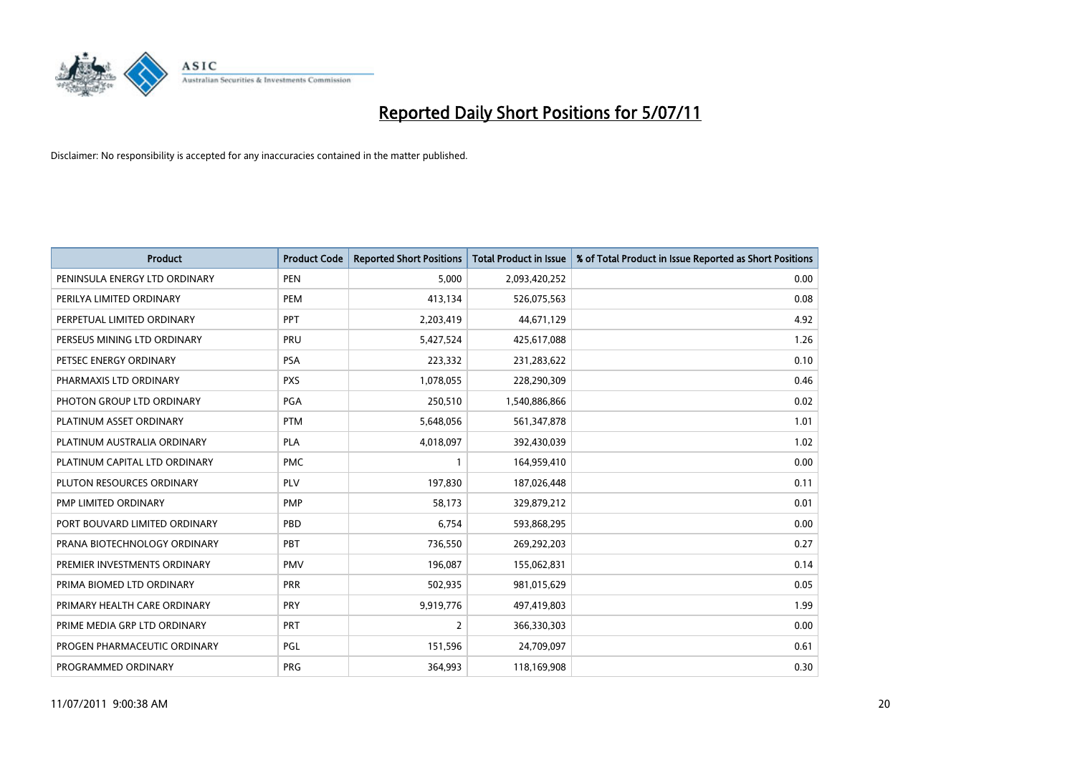

| <b>Product</b>                | <b>Product Code</b> | <b>Reported Short Positions</b> | <b>Total Product in Issue</b> | % of Total Product in Issue Reported as Short Positions |
|-------------------------------|---------------------|---------------------------------|-------------------------------|---------------------------------------------------------|
| PENINSULA ENERGY LTD ORDINARY | <b>PEN</b>          | 5,000                           | 2,093,420,252                 | 0.00                                                    |
| PERILYA LIMITED ORDINARY      | PEM                 | 413,134                         | 526,075,563                   | 0.08                                                    |
| PERPETUAL LIMITED ORDINARY    | PPT                 | 2,203,419                       | 44,671,129                    | 4.92                                                    |
| PERSEUS MINING LTD ORDINARY   | PRU                 | 5,427,524                       | 425,617,088                   | 1.26                                                    |
| PETSEC ENERGY ORDINARY        | <b>PSA</b>          | 223,332                         | 231,283,622                   | 0.10                                                    |
| PHARMAXIS LTD ORDINARY        | <b>PXS</b>          | 1,078,055                       | 228,290,309                   | 0.46                                                    |
| PHOTON GROUP LTD ORDINARY     | <b>PGA</b>          | 250,510                         | 1,540,886,866                 | 0.02                                                    |
| PLATINUM ASSET ORDINARY       | <b>PTM</b>          | 5,648,056                       | 561,347,878                   | 1.01                                                    |
| PLATINUM AUSTRALIA ORDINARY   | <b>PLA</b>          | 4,018,097                       | 392,430,039                   | 1.02                                                    |
| PLATINUM CAPITAL LTD ORDINARY | <b>PMC</b>          |                                 | 164,959,410                   | 0.00                                                    |
| PLUTON RESOURCES ORDINARY     | <b>PLV</b>          | 197,830                         | 187,026,448                   | 0.11                                                    |
| PMP LIMITED ORDINARY          | <b>PMP</b>          | 58,173                          | 329,879,212                   | 0.01                                                    |
| PORT BOUVARD LIMITED ORDINARY | PBD                 | 6,754                           | 593,868,295                   | 0.00                                                    |
| PRANA BIOTECHNOLOGY ORDINARY  | <b>PBT</b>          | 736,550                         | 269,292,203                   | 0.27                                                    |
| PREMIER INVESTMENTS ORDINARY  | <b>PMV</b>          | 196,087                         | 155,062,831                   | 0.14                                                    |
| PRIMA BIOMED LTD ORDINARY     | <b>PRR</b>          | 502,935                         | 981,015,629                   | 0.05                                                    |
| PRIMARY HEALTH CARE ORDINARY  | <b>PRY</b>          | 9,919,776                       | 497,419,803                   | 1.99                                                    |
| PRIME MEDIA GRP LTD ORDINARY  | PRT                 | $\overline{2}$                  | 366,330,303                   | 0.00                                                    |
| PROGEN PHARMACEUTIC ORDINARY  | <b>PGL</b>          | 151,596                         | 24,709,097                    | 0.61                                                    |
| PROGRAMMED ORDINARY           | <b>PRG</b>          | 364,993                         | 118,169,908                   | 0.30                                                    |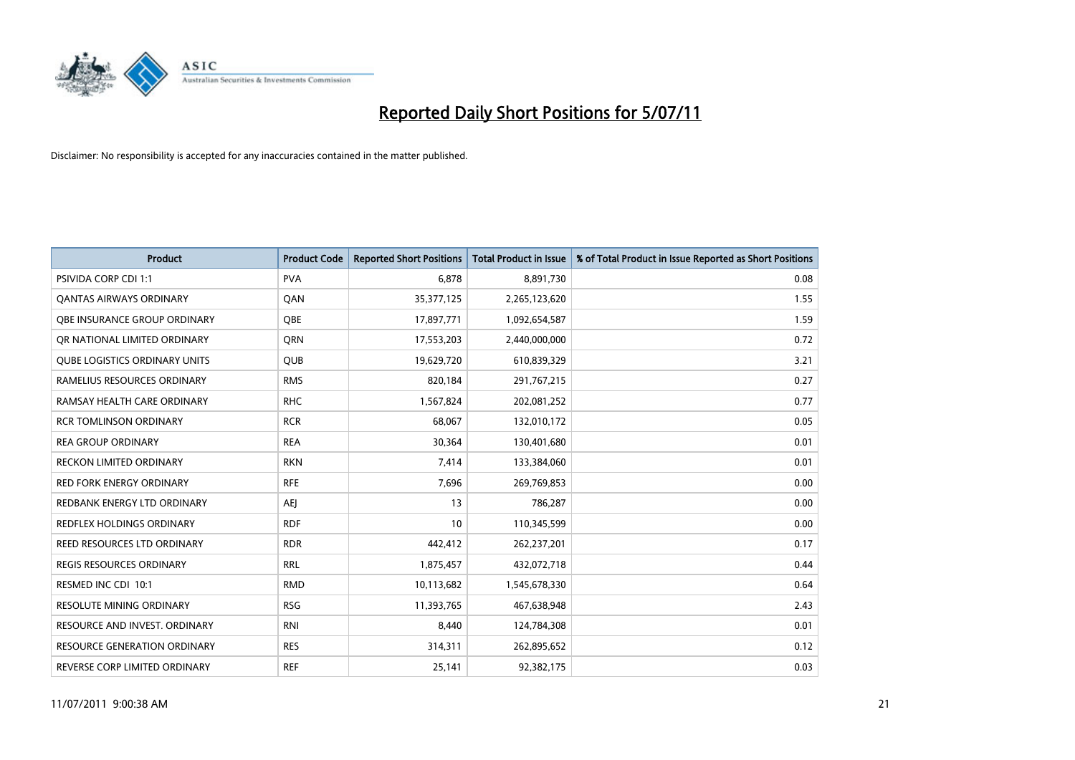

| <b>Product</b>                       | <b>Product Code</b> | <b>Reported Short Positions</b> | <b>Total Product in Issue</b> | % of Total Product in Issue Reported as Short Positions |
|--------------------------------------|---------------------|---------------------------------|-------------------------------|---------------------------------------------------------|
| <b>PSIVIDA CORP CDI 1:1</b>          | <b>PVA</b>          | 6,878                           | 8,891,730                     | 0.08                                                    |
| <b>QANTAS AIRWAYS ORDINARY</b>       | QAN                 | 35,377,125                      | 2,265,123,620                 | 1.55                                                    |
| OBE INSURANCE GROUP ORDINARY         | OBE                 | 17,897,771                      | 1,092,654,587                 | 1.59                                                    |
| OR NATIONAL LIMITED ORDINARY         | <b>ORN</b>          | 17,553,203                      | 2,440,000,000                 | 0.72                                                    |
| <b>OUBE LOGISTICS ORDINARY UNITS</b> | <b>QUB</b>          | 19,629,720                      | 610,839,329                   | 3.21                                                    |
| RAMELIUS RESOURCES ORDINARY          | <b>RMS</b>          | 820,184                         | 291,767,215                   | 0.27                                                    |
| RAMSAY HEALTH CARE ORDINARY          | <b>RHC</b>          | 1,567,824                       | 202,081,252                   | 0.77                                                    |
| <b>RCR TOMLINSON ORDINARY</b>        | <b>RCR</b>          | 68,067                          | 132,010,172                   | 0.05                                                    |
| <b>REA GROUP ORDINARY</b>            | <b>REA</b>          | 30,364                          | 130,401,680                   | 0.01                                                    |
| <b>RECKON LIMITED ORDINARY</b>       | <b>RKN</b>          | 7,414                           | 133,384,060                   | 0.01                                                    |
| <b>RED FORK ENERGY ORDINARY</b>      | <b>RFE</b>          | 7,696                           | 269,769,853                   | 0.00                                                    |
| REDBANK ENERGY LTD ORDINARY          | <b>AEI</b>          | 13                              | 786,287                       | 0.00                                                    |
| REDFLEX HOLDINGS ORDINARY            | <b>RDF</b>          | 10                              | 110,345,599                   | 0.00                                                    |
| REED RESOURCES LTD ORDINARY          | <b>RDR</b>          | 442,412                         | 262,237,201                   | 0.17                                                    |
| <b>REGIS RESOURCES ORDINARY</b>      | <b>RRL</b>          | 1,875,457                       | 432,072,718                   | 0.44                                                    |
| RESMED INC CDI 10:1                  | <b>RMD</b>          | 10,113,682                      | 1,545,678,330                 | 0.64                                                    |
| <b>RESOLUTE MINING ORDINARY</b>      | <b>RSG</b>          | 11,393,765                      | 467,638,948                   | 2.43                                                    |
| RESOURCE AND INVEST. ORDINARY        | <b>RNI</b>          | 8,440                           | 124,784,308                   | 0.01                                                    |
| <b>RESOURCE GENERATION ORDINARY</b>  | <b>RES</b>          | 314,311                         | 262,895,652                   | 0.12                                                    |
| REVERSE CORP LIMITED ORDINARY        | <b>REF</b>          | 25,141                          | 92,382,175                    | 0.03                                                    |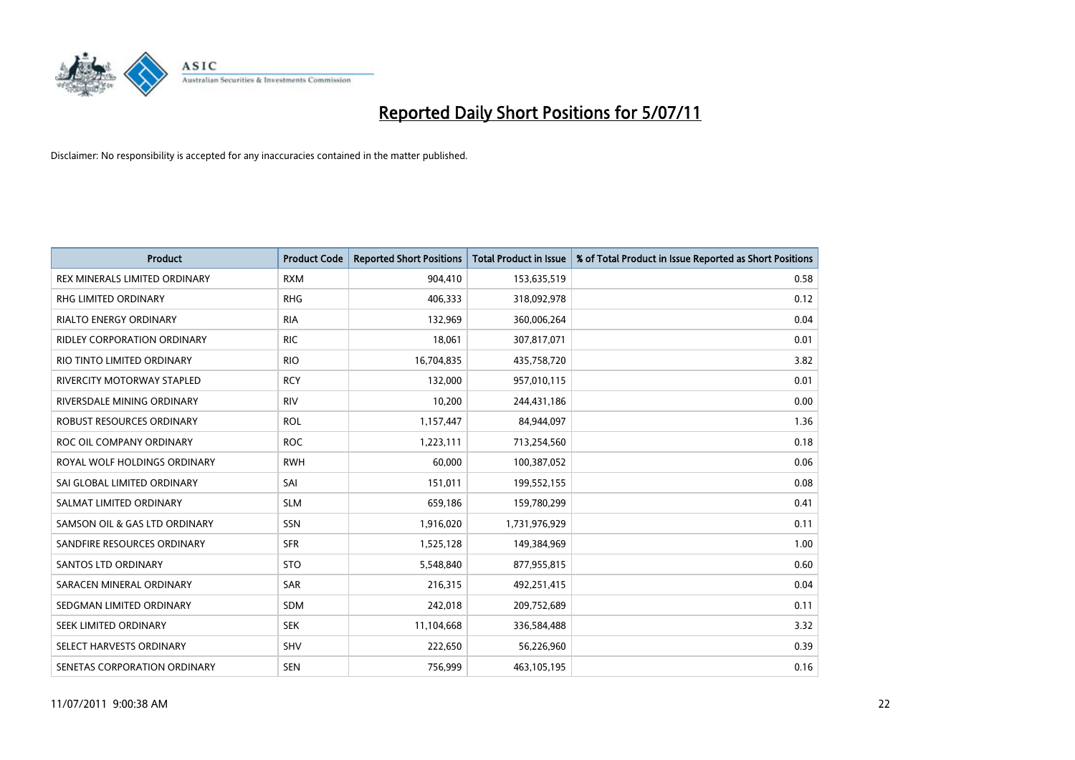

| <b>Product</b>                   | <b>Product Code</b> | <b>Reported Short Positions</b> | <b>Total Product in Issue</b> | % of Total Product in Issue Reported as Short Positions |
|----------------------------------|---------------------|---------------------------------|-------------------------------|---------------------------------------------------------|
| REX MINERALS LIMITED ORDINARY    | <b>RXM</b>          | 904,410                         | 153,635,519                   | 0.58                                                    |
| RHG LIMITED ORDINARY             | <b>RHG</b>          | 406,333                         | 318,092,978                   | 0.12                                                    |
| <b>RIALTO ENERGY ORDINARY</b>    | <b>RIA</b>          | 132,969                         | 360,006,264                   | 0.04                                                    |
| RIDLEY CORPORATION ORDINARY      | <b>RIC</b>          | 18,061                          | 307,817,071                   | 0.01                                                    |
| RIO TINTO LIMITED ORDINARY       | <b>RIO</b>          | 16,704,835                      | 435,758,720                   | 3.82                                                    |
| RIVERCITY MOTORWAY STAPLED       | <b>RCY</b>          | 132,000                         | 957,010,115                   | 0.01                                                    |
| RIVERSDALE MINING ORDINARY       | <b>RIV</b>          | 10.200                          | 244,431,186                   | 0.00                                                    |
| <b>ROBUST RESOURCES ORDINARY</b> | <b>ROL</b>          | 1,157,447                       | 84,944,097                    | 1.36                                                    |
| ROC OIL COMPANY ORDINARY         | <b>ROC</b>          | 1,223,111                       | 713,254,560                   | 0.18                                                    |
| ROYAL WOLF HOLDINGS ORDINARY     | <b>RWH</b>          | 60,000                          | 100,387,052                   | 0.06                                                    |
| SAI GLOBAL LIMITED ORDINARY      | SAI                 | 151,011                         | 199,552,155                   | 0.08                                                    |
| SALMAT LIMITED ORDINARY          | <b>SLM</b>          | 659,186                         | 159,780,299                   | 0.41                                                    |
| SAMSON OIL & GAS LTD ORDINARY    | SSN                 | 1,916,020                       | 1,731,976,929                 | 0.11                                                    |
| SANDFIRE RESOURCES ORDINARY      | <b>SFR</b>          | 1,525,128                       | 149,384,969                   | 1.00                                                    |
| <b>SANTOS LTD ORDINARY</b>       | <b>STO</b>          | 5,548,840                       | 877,955,815                   | 0.60                                                    |
| SARACEN MINERAL ORDINARY         | <b>SAR</b>          | 216,315                         | 492,251,415                   | 0.04                                                    |
| SEDGMAN LIMITED ORDINARY         | <b>SDM</b>          | 242,018                         | 209,752,689                   | 0.11                                                    |
| SEEK LIMITED ORDINARY            | <b>SEK</b>          | 11,104,668                      | 336,584,488                   | 3.32                                                    |
| SELECT HARVESTS ORDINARY         | <b>SHV</b>          | 222,650                         | 56,226,960                    | 0.39                                                    |
| SENETAS CORPORATION ORDINARY     | <b>SEN</b>          | 756,999                         | 463,105,195                   | 0.16                                                    |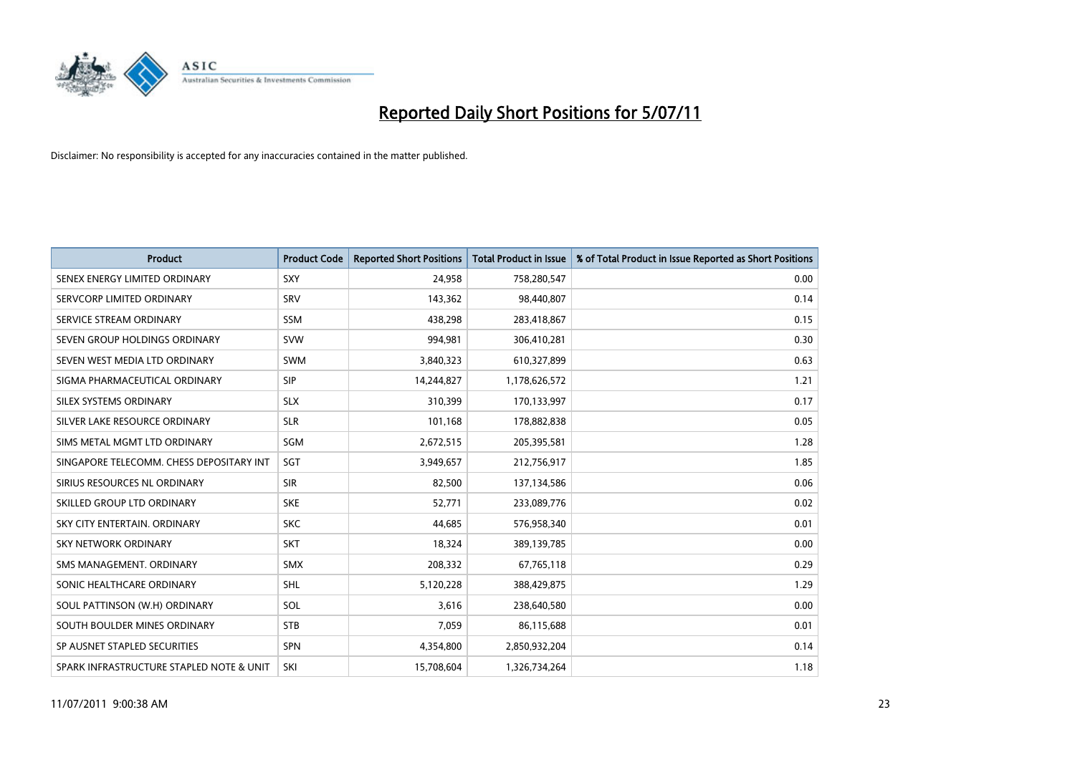

| <b>Product</b>                           | <b>Product Code</b> | <b>Reported Short Positions</b> | <b>Total Product in Issue</b> | % of Total Product in Issue Reported as Short Positions |
|------------------------------------------|---------------------|---------------------------------|-------------------------------|---------------------------------------------------------|
| SENEX ENERGY LIMITED ORDINARY            | <b>SXY</b>          | 24,958                          | 758,280,547                   | 0.00                                                    |
| SERVCORP LIMITED ORDINARY                | SRV                 | 143,362                         | 98,440,807                    | 0.14                                                    |
| SERVICE STREAM ORDINARY                  | <b>SSM</b>          | 438,298                         | 283,418,867                   | 0.15                                                    |
| SEVEN GROUP HOLDINGS ORDINARY            | <b>SVW</b>          | 994,981                         | 306,410,281                   | 0.30                                                    |
| SEVEN WEST MEDIA LTD ORDINARY            | <b>SWM</b>          | 3,840,323                       | 610,327,899                   | 0.63                                                    |
| SIGMA PHARMACEUTICAL ORDINARY            | <b>SIP</b>          | 14,244,827                      | 1,178,626,572                 | 1.21                                                    |
| SILEX SYSTEMS ORDINARY                   | <b>SLX</b>          | 310,399                         | 170,133,997                   | 0.17                                                    |
| SILVER LAKE RESOURCE ORDINARY            | <b>SLR</b>          | 101,168                         | 178,882,838                   | 0.05                                                    |
| SIMS METAL MGMT LTD ORDINARY             | <b>SGM</b>          | 2,672,515                       | 205,395,581                   | 1.28                                                    |
| SINGAPORE TELECOMM. CHESS DEPOSITARY INT | SGT                 | 3,949,657                       | 212,756,917                   | 1.85                                                    |
| SIRIUS RESOURCES NL ORDINARY             | <b>SIR</b>          | 82,500                          | 137,134,586                   | 0.06                                                    |
| SKILLED GROUP LTD ORDINARY               | <b>SKE</b>          | 52,771                          | 233,089,776                   | 0.02                                                    |
| SKY CITY ENTERTAIN, ORDINARY             | <b>SKC</b>          | 44,685                          | 576,958,340                   | 0.01                                                    |
| <b>SKY NETWORK ORDINARY</b>              | <b>SKT</b>          | 18,324                          | 389,139,785                   | 0.00                                                    |
| SMS MANAGEMENT, ORDINARY                 | <b>SMX</b>          | 208,332                         | 67,765,118                    | 0.29                                                    |
| SONIC HEALTHCARE ORDINARY                | SHL                 | 5,120,228                       | 388,429,875                   | 1.29                                                    |
| SOUL PATTINSON (W.H) ORDINARY            | SOL                 | 3,616                           | 238,640,580                   | 0.00                                                    |
| SOUTH BOULDER MINES ORDINARY             | <b>STB</b>          | 7,059                           | 86,115,688                    | 0.01                                                    |
| SP AUSNET STAPLED SECURITIES             | SPN                 | 4,354,800                       | 2,850,932,204                 | 0.14                                                    |
| SPARK INFRASTRUCTURE STAPLED NOTE & UNIT | SKI                 | 15,708,604                      | 1,326,734,264                 | 1.18                                                    |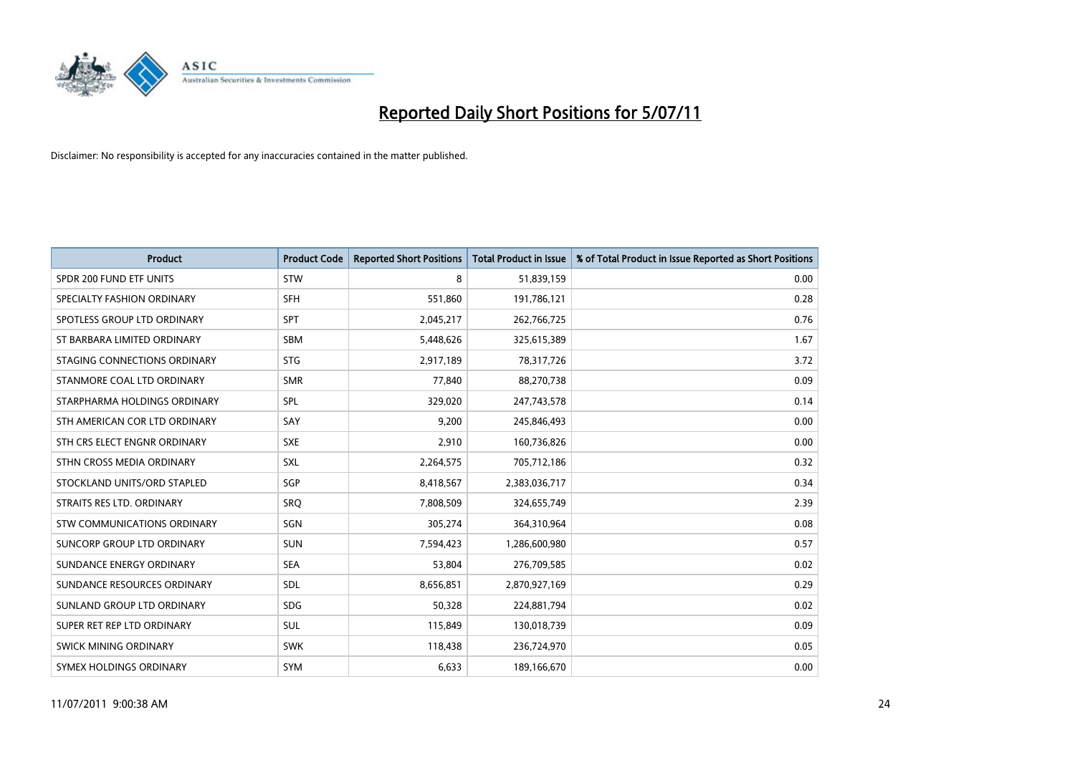

| <b>Product</b>                    | <b>Product Code</b> | <b>Reported Short Positions</b> | Total Product in Issue | % of Total Product in Issue Reported as Short Positions |
|-----------------------------------|---------------------|---------------------------------|------------------------|---------------------------------------------------------|
| SPDR 200 FUND ETF UNITS           | STW                 | 8                               | 51,839,159             | 0.00                                                    |
| SPECIALTY FASHION ORDINARY        | <b>SFH</b>          | 551,860                         | 191,786,121            | 0.28                                                    |
| SPOTLESS GROUP LTD ORDINARY       | <b>SPT</b>          | 2,045,217                       | 262,766,725            | 0.76                                                    |
| ST BARBARA LIMITED ORDINARY       | <b>SBM</b>          | 5,448,626                       | 325,615,389            | 1.67                                                    |
| STAGING CONNECTIONS ORDINARY      | <b>STG</b>          | 2,917,189                       | 78,317,726             | 3.72                                                    |
| STANMORE COAL LTD ORDINARY        | <b>SMR</b>          | 77,840                          | 88,270,738             | 0.09                                                    |
| STARPHARMA HOLDINGS ORDINARY      | SPL                 | 329,020                         | 247,743,578            | 0.14                                                    |
| STH AMERICAN COR LTD ORDINARY     | SAY                 | 9,200                           | 245,846,493            | 0.00                                                    |
| STH CRS ELECT ENGNR ORDINARY      | <b>SXE</b>          | 2,910                           | 160,736,826            | 0.00                                                    |
| STHN CROSS MEDIA ORDINARY         | <b>SXL</b>          | 2,264,575                       | 705,712,186            | 0.32                                                    |
| STOCKLAND UNITS/ORD STAPLED       | SGP                 | 8,418,567                       | 2,383,036,717          | 0.34                                                    |
| STRAITS RES LTD. ORDINARY         | SRO                 | 7,808,509                       | 324,655,749            | 2.39                                                    |
| STW COMMUNICATIONS ORDINARY       | SGN                 | 305,274                         | 364,310,964            | 0.08                                                    |
| <b>SUNCORP GROUP LTD ORDINARY</b> | <b>SUN</b>          | 7,594,423                       | 1,286,600,980          | 0.57                                                    |
| SUNDANCE ENERGY ORDINARY          | <b>SEA</b>          | 53,804                          | 276,709,585            | 0.02                                                    |
| SUNDANCE RESOURCES ORDINARY       | <b>SDL</b>          | 8,656,851                       | 2,870,927,169          | 0.29                                                    |
| SUNLAND GROUP LTD ORDINARY        | <b>SDG</b>          | 50,328                          | 224,881,794            | 0.02                                                    |
| SUPER RET REP LTD ORDINARY        | SUL                 | 115,849                         | 130,018,739            | 0.09                                                    |
| <b>SWICK MINING ORDINARY</b>      | <b>SWK</b>          | 118,438                         | 236,724,970            | 0.05                                                    |
| SYMEX HOLDINGS ORDINARY           | <b>SYM</b>          | 6,633                           | 189,166,670            | 0.00                                                    |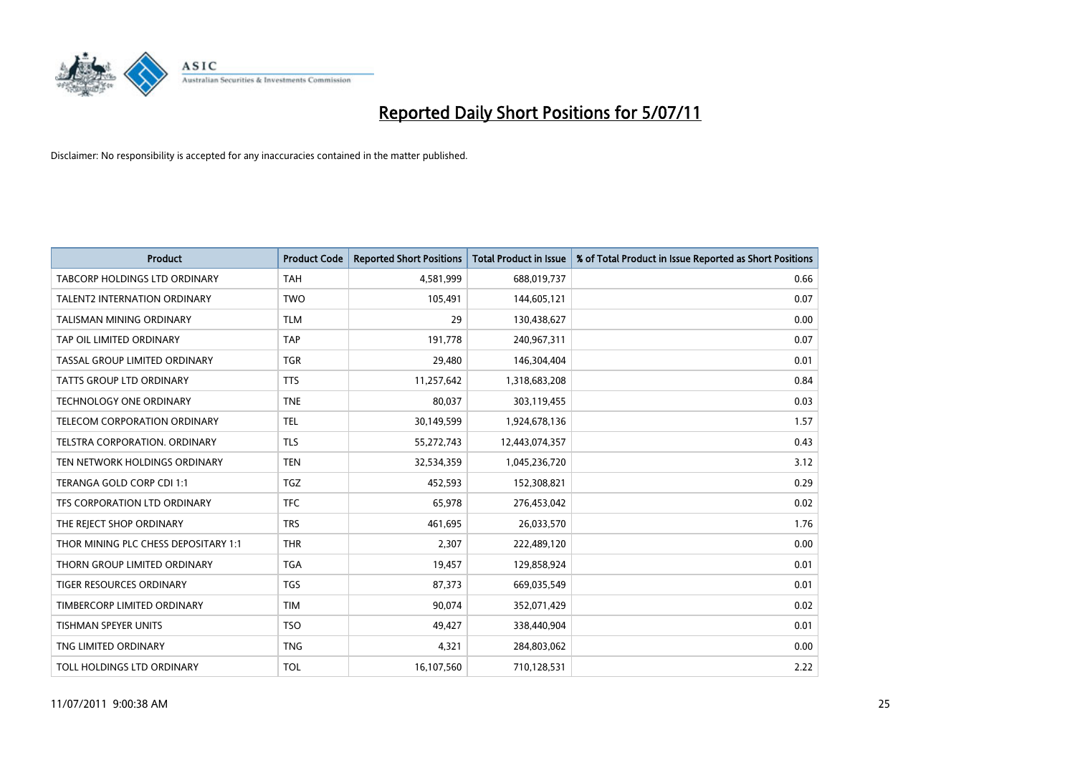

| <b>Product</b>                       | <b>Product Code</b> | <b>Reported Short Positions</b> | Total Product in Issue | % of Total Product in Issue Reported as Short Positions |
|--------------------------------------|---------------------|---------------------------------|------------------------|---------------------------------------------------------|
| <b>TABCORP HOLDINGS LTD ORDINARY</b> | <b>TAH</b>          | 4,581,999                       | 688,019,737            | 0.66                                                    |
| <b>TALENT2 INTERNATION ORDINARY</b>  | <b>TWO</b>          | 105,491                         | 144,605,121            | 0.07                                                    |
| TALISMAN MINING ORDINARY             | <b>TLM</b>          | 29                              | 130,438,627            | 0.00                                                    |
| TAP OIL LIMITED ORDINARY             | <b>TAP</b>          | 191,778                         | 240,967,311            | 0.07                                                    |
| TASSAL GROUP LIMITED ORDINARY        | <b>TGR</b>          | 29.480                          | 146,304,404            | 0.01                                                    |
| TATTS GROUP LTD ORDINARY             | <b>TTS</b>          | 11,257,642                      | 1,318,683,208          | 0.84                                                    |
| <b>TECHNOLOGY ONE ORDINARY</b>       | <b>TNE</b>          | 80.037                          | 303,119,455            | 0.03                                                    |
| TELECOM CORPORATION ORDINARY         | <b>TEL</b>          | 30,149,599                      | 1,924,678,136          | 1.57                                                    |
| TELSTRA CORPORATION. ORDINARY        | <b>TLS</b>          | 55,272,743                      | 12,443,074,357         | 0.43                                                    |
| TEN NETWORK HOLDINGS ORDINARY        | <b>TEN</b>          | 32,534,359                      | 1,045,236,720          | 3.12                                                    |
| TERANGA GOLD CORP CDI 1:1            | <b>TGZ</b>          | 452,593                         | 152,308,821            | 0.29                                                    |
| TFS CORPORATION LTD ORDINARY         | <b>TFC</b>          | 65,978                          | 276,453,042            | 0.02                                                    |
| THE REJECT SHOP ORDINARY             | <b>TRS</b>          | 461.695                         | 26,033,570             | 1.76                                                    |
| THOR MINING PLC CHESS DEPOSITARY 1:1 | <b>THR</b>          | 2.307                           | 222,489,120            | 0.00                                                    |
| THORN GROUP LIMITED ORDINARY         | <b>TGA</b>          | 19,457                          | 129,858,924            | 0.01                                                    |
| <b>TIGER RESOURCES ORDINARY</b>      | <b>TGS</b>          | 87,373                          | 669,035,549            | 0.01                                                    |
| TIMBERCORP LIMITED ORDINARY          | <b>TIM</b>          | 90,074                          | 352,071,429            | 0.02                                                    |
| TISHMAN SPEYER UNITS                 | <b>TSO</b>          | 49,427                          | 338,440,904            | 0.01                                                    |
| TNG LIMITED ORDINARY                 | <b>TNG</b>          | 4,321                           | 284,803,062            | 0.00                                                    |
| TOLL HOLDINGS LTD ORDINARY           | <b>TOL</b>          | 16,107,560                      | 710,128,531            | 2.22                                                    |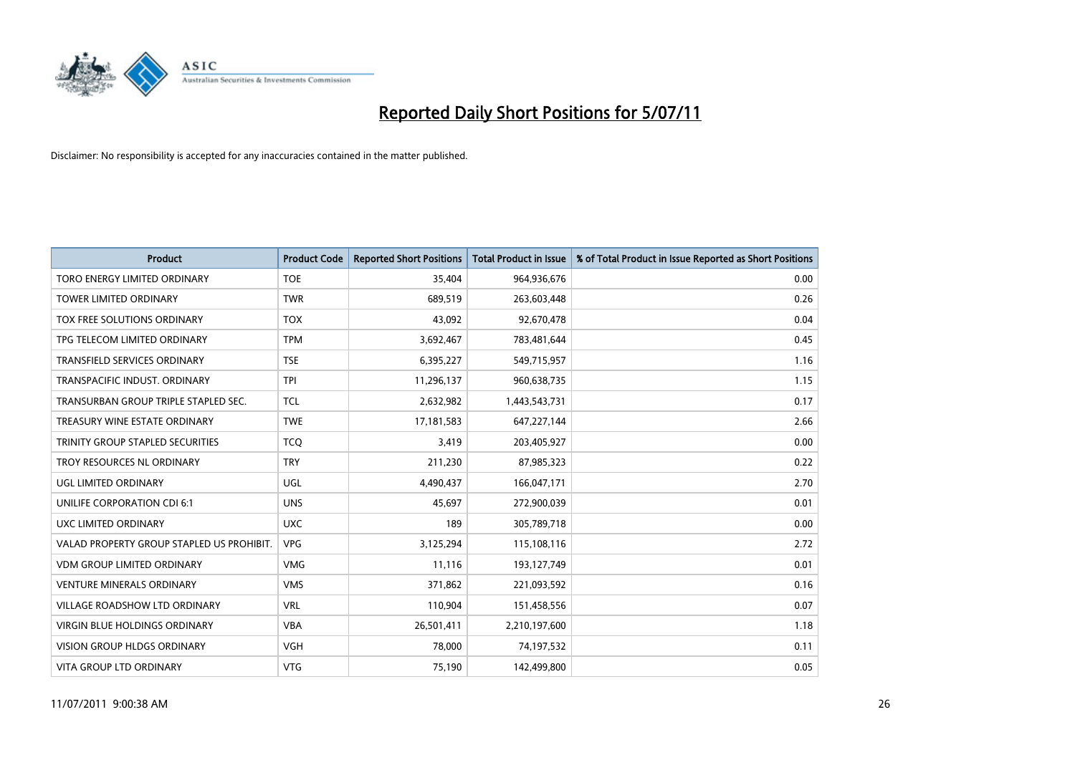

| <b>Product</b>                            | <b>Product Code</b> | <b>Reported Short Positions</b> | Total Product in Issue | % of Total Product in Issue Reported as Short Positions |
|-------------------------------------------|---------------------|---------------------------------|------------------------|---------------------------------------------------------|
| TORO ENERGY LIMITED ORDINARY              | <b>TOE</b>          | 35,404                          | 964,936,676            | 0.00                                                    |
| TOWER LIMITED ORDINARY                    | <b>TWR</b>          | 689,519                         | 263,603,448            | 0.26                                                    |
| <b>TOX FREE SOLUTIONS ORDINARY</b>        | <b>TOX</b>          | 43,092                          | 92,670,478             | 0.04                                                    |
| TPG TELECOM LIMITED ORDINARY              | <b>TPM</b>          | 3,692,467                       | 783,481,644            | 0.45                                                    |
| <b>TRANSFIELD SERVICES ORDINARY</b>       | <b>TSE</b>          | 6,395,227                       | 549,715,957            | 1.16                                                    |
| TRANSPACIFIC INDUST, ORDINARY             | <b>TPI</b>          | 11,296,137                      | 960,638,735            | 1.15                                                    |
| TRANSURBAN GROUP TRIPLE STAPLED SEC.      | <b>TCL</b>          | 2,632,982                       | 1,443,543,731          | 0.17                                                    |
| TREASURY WINE ESTATE ORDINARY             | <b>TWE</b>          | 17,181,583                      | 647,227,144            | 2.66                                                    |
| TRINITY GROUP STAPLED SECURITIES          | <b>TCO</b>          | 3,419                           | 203,405,927            | 0.00                                                    |
| TROY RESOURCES NL ORDINARY                | <b>TRY</b>          | 211,230                         | 87,985,323             | 0.22                                                    |
| UGL LIMITED ORDINARY                      | <b>UGL</b>          | 4,490,437                       | 166,047,171            | 2.70                                                    |
| UNILIFE CORPORATION CDI 6:1               | <b>UNS</b>          | 45,697                          | 272,900,039            | 0.01                                                    |
| UXC LIMITED ORDINARY                      | <b>UXC</b>          | 189                             | 305,789,718            | 0.00                                                    |
| VALAD PROPERTY GROUP STAPLED US PROHIBIT. | <b>VPG</b>          | 3,125,294                       | 115,108,116            | 2.72                                                    |
| <b>VDM GROUP LIMITED ORDINARY</b>         | <b>VMG</b>          | 11,116                          | 193,127,749            | 0.01                                                    |
| <b>VENTURE MINERALS ORDINARY</b>          | <b>VMS</b>          | 371,862                         | 221,093,592            | 0.16                                                    |
| VILLAGE ROADSHOW LTD ORDINARY             | <b>VRL</b>          | 110,904                         | 151,458,556            | 0.07                                                    |
| VIRGIN BLUE HOLDINGS ORDINARY             | <b>VBA</b>          | 26,501,411                      | 2,210,197,600          | 1.18                                                    |
| <b>VISION GROUP HLDGS ORDINARY</b>        | <b>VGH</b>          | 78,000                          | 74,197,532             | 0.11                                                    |
| VITA GROUP LTD ORDINARY                   | <b>VTG</b>          | 75,190                          | 142,499,800            | 0.05                                                    |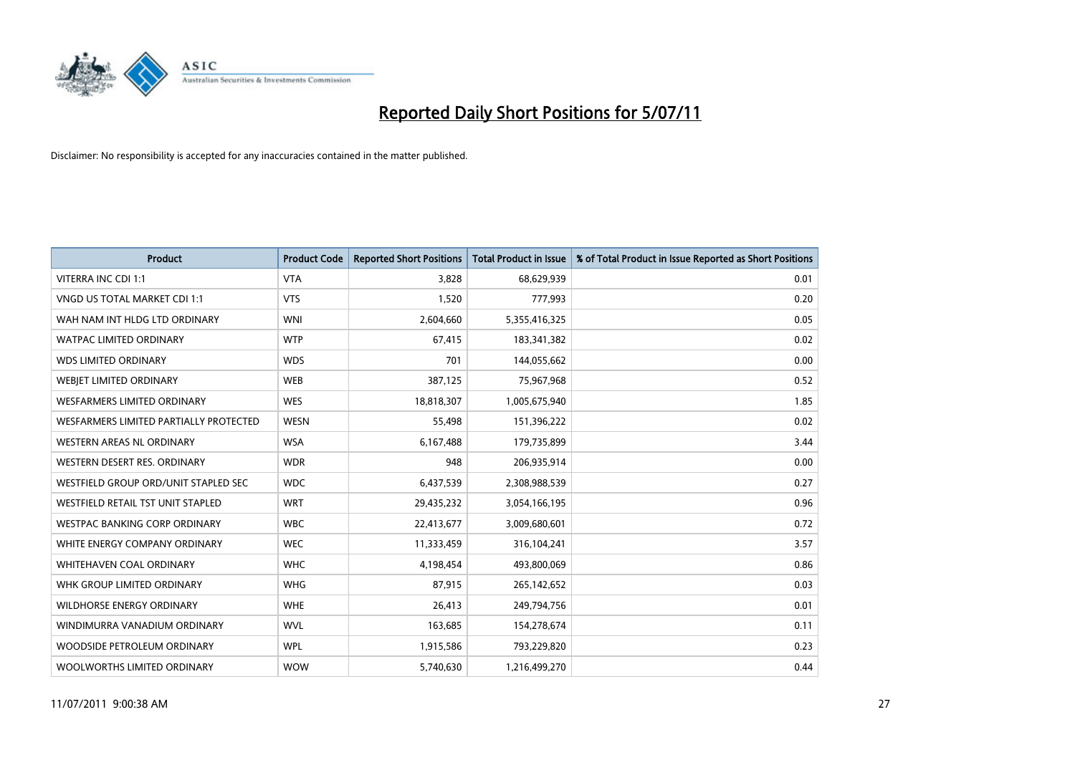

| <b>Product</b>                         | <b>Product Code</b> | <b>Reported Short Positions</b> | <b>Total Product in Issue</b> | % of Total Product in Issue Reported as Short Positions |
|----------------------------------------|---------------------|---------------------------------|-------------------------------|---------------------------------------------------------|
| VITERRA INC CDI 1:1                    | <b>VTA</b>          | 3,828                           | 68,629,939                    | 0.01                                                    |
| VNGD US TOTAL MARKET CDI 1:1           | <b>VTS</b>          | 1,520                           | 777,993                       | 0.20                                                    |
| WAH NAM INT HLDG LTD ORDINARY          | <b>WNI</b>          | 2,604,660                       | 5,355,416,325                 | 0.05                                                    |
| <b>WATPAC LIMITED ORDINARY</b>         | <b>WTP</b>          | 67,415                          | 183,341,382                   | 0.02                                                    |
| <b>WDS LIMITED ORDINARY</b>            | <b>WDS</b>          | 701                             | 144,055,662                   | 0.00                                                    |
| WEBIET LIMITED ORDINARY                | <b>WEB</b>          | 387,125                         | 75,967,968                    | 0.52                                                    |
| WESFARMERS LIMITED ORDINARY            | <b>WES</b>          | 18,818,307                      | 1,005,675,940                 | 1.85                                                    |
| WESFARMERS LIMITED PARTIALLY PROTECTED | <b>WESN</b>         | 55.498                          | 151,396,222                   | 0.02                                                    |
| WESTERN AREAS NL ORDINARY              | <b>WSA</b>          | 6,167,488                       | 179,735,899                   | 3.44                                                    |
| WESTERN DESERT RES. ORDINARY           | <b>WDR</b>          | 948                             | 206,935,914                   | 0.00                                                    |
| WESTFIELD GROUP ORD/UNIT STAPLED SEC   | <b>WDC</b>          | 6,437,539                       | 2,308,988,539                 | 0.27                                                    |
| WESTFIELD RETAIL TST UNIT STAPLED      | <b>WRT</b>          | 29,435,232                      | 3,054,166,195                 | 0.96                                                    |
| WESTPAC BANKING CORP ORDINARY          | <b>WBC</b>          | 22,413,677                      | 3,009,680,601                 | 0.72                                                    |
| WHITE ENERGY COMPANY ORDINARY          | <b>WEC</b>          | 11,333,459                      | 316,104,241                   | 3.57                                                    |
| WHITEHAVEN COAL ORDINARY               | <b>WHC</b>          | 4,198,454                       | 493,800,069                   | 0.86                                                    |
| WHK GROUP LIMITED ORDINARY             | <b>WHG</b>          | 87,915                          | 265,142,652                   | 0.03                                                    |
| WILDHORSE ENERGY ORDINARY              | <b>WHE</b>          | 26,413                          | 249,794,756                   | 0.01                                                    |
| WINDIMURRA VANADIUM ORDINARY           | <b>WVL</b>          | 163,685                         | 154,278,674                   | 0.11                                                    |
| WOODSIDE PETROLEUM ORDINARY            | <b>WPL</b>          | 1,915,586                       | 793,229,820                   | 0.23                                                    |
| WOOLWORTHS LIMITED ORDINARY            | <b>WOW</b>          | 5,740,630                       | 1,216,499,270                 | 0.44                                                    |